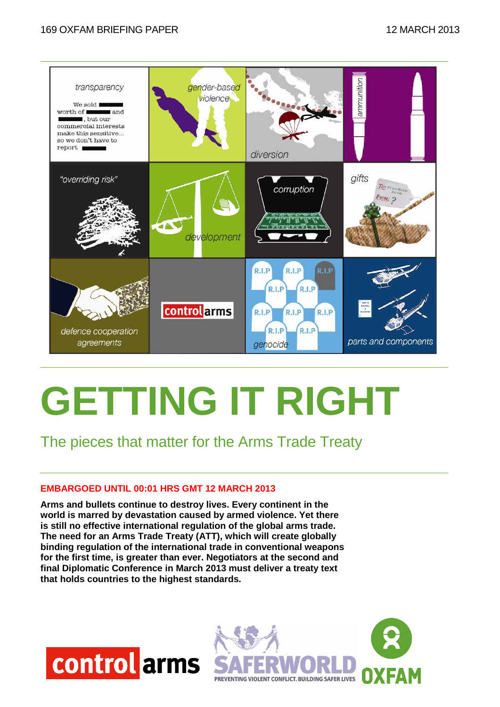#### 169 OXFAM BRIEFING PAPER 12 MARCH 2013



# **GETTING IT RIGHT**

The pieces that matter for the Arms Trade Treaty

#### **EMBARGOED UNTIL 00:01 HRS GMT 12 MARCH 2013**

**Arms and bullets continue to destroy lives. Every continent in the world is marred by devastation caused by armed violence. Yet there is still no effective international regulation of the global arms trade. The need for an Arms Trade Treaty (ATT), which will create globally binding regulation of the international trade in conventional weapons for the first time, is greater than ever. Negotiators at the second and final Diplomatic Conference in March 2013 must deliver a treaty text that holds countries to the highest standards.** 



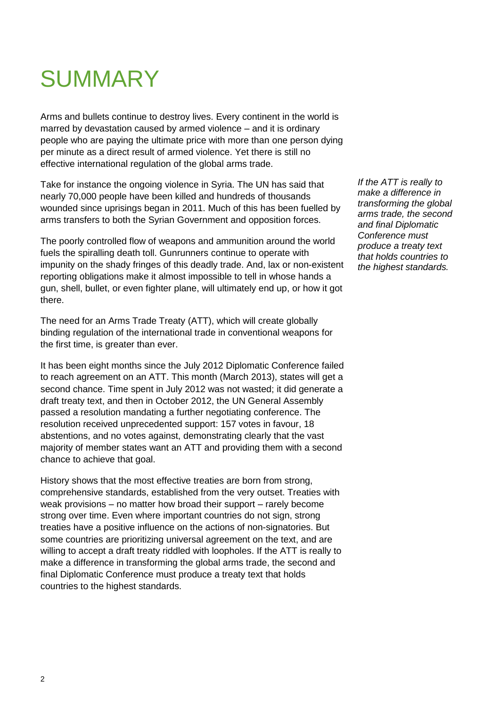# **SUMMARY**

Arms and bullets continue to destroy lives. Every continent in the world is marred by devastation caused by armed violence – and it is ordinary people who are paying the ultimate price with more than one person dying per minute as a direct result of armed violence. Yet there is still no effective international regulation of the global arms trade.

Take for instance the ongoing violence in Syria. The UN has said that nearly 70,000 people have been killed and hundreds of thousands wounded since uprisings began in 2011. Much of this has been fuelled by arms transfers to both the Syrian Government and opposition forces.

The poorly controlled flow of weapons and ammunition around the world fuels the spiralling death toll. Gunrunners continue to operate with impunity on the shady fringes of this deadly trade. And, lax or non-existent reporting obligations make it almost impossible to tell in whose hands a gun, shell, bullet, or even fighter plane, will ultimately end up, or how it got there.

The need for an Arms Trade Treaty (ATT), which will create globally binding regulation of the international trade in conventional weapons for the first time, is greater than ever.

It has been eight months since the July 2012 Diplomatic Conference failed to reach agreement on an ATT. This month (March 2013), states will get a second chance. Time spent in July 2012 was not wasted; it did generate a draft treaty text, and then in October 2012, the UN General Assembly passed a resolution mandating a further negotiating conference. The resolution received unprecedented support: 157 votes in favour, 18 abstentions, and no votes against, demonstrating clearly that the vast majority of member states want an ATT and providing them with a second chance to achieve that goal.

History shows that the most effective treaties are born from strong, comprehensive standards, established from the very outset. Treaties with weak provisions – no matter how broad their support – rarely become strong over time. Even where important countries do not sign, strong treaties have a positive influence on the actions of non-signatories. But some countries are prioritizing universal agreement on the text, and are willing to accept a draft treaty riddled with loopholes. If the ATT is really to make a difference in transforming the global arms trade, the second and final Diplomatic Conference must produce a treaty text that holds countries to the highest standards.

*If the ATT is really to make a difference in transforming the global arms trade, the second and final Diplomatic Conference must produce a treaty text that holds countries to the highest standards.*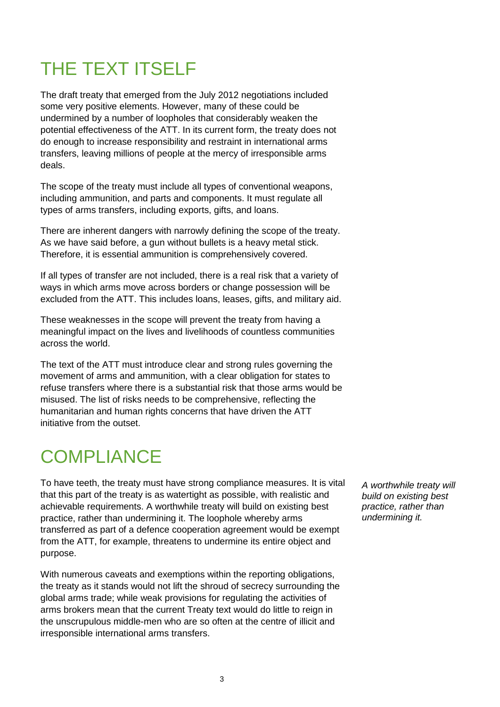# THE TEXT ITSELF

The draft treaty that emerged from the July 2012 negotiations included some very positive elements. However, many of these could be undermined by a number of loopholes that considerably weaken the potential effectiveness of the ATT. In its current form, the treaty does not do enough to increase responsibility and restraint in international arms transfers, leaving millions of people at the mercy of irresponsible arms deals.

The scope of the treaty must include all types of conventional weapons, including ammunition, and parts and components. It must regulate all types of arms transfers, including exports, gifts, and loans.

There are inherent dangers with narrowly defining the scope of the treaty. As we have said before, a gun without bullets is a heavy metal stick. Therefore, it is essential ammunition is comprehensively covered.

If all types of transfer are not included, there is a real risk that a variety of ways in which arms move across borders or change possession will be excluded from the ATT. This includes loans, leases, gifts, and military aid.

These weaknesses in the scope will prevent the treaty from having a meaningful impact on the lives and livelihoods of countless communities across the world.

The text of the ATT must introduce clear and strong rules governing the movement of arms and ammunition, with a clear obligation for states to refuse transfers where there is a substantial risk that those arms would be misused. The list of risks needs to be comprehensive, reflecting the humanitarian and human rights concerns that have driven the ATT initiative from the outset.

### **COMPLIANCE**

To have teeth, the treaty must have strong compliance measures. It is vital that this part of the treaty is as watertight as possible, with realistic and achievable requirements. A worthwhile treaty will build on existing best practice, rather than undermining it. The loophole whereby arms transferred as part of a defence cooperation agreement would be exempt from the ATT, for example, threatens to undermine its entire object and purpose.

With numerous caveats and exemptions within the reporting obligations, the treaty as it stands would not lift the shroud of secrecy surrounding the global arms trade; while weak provisions for regulating the activities of arms brokers mean that the current Treaty text would do little to reign in the unscrupulous middle-men who are so often at the centre of illicit and irresponsible international arms transfers.

*A worthwhile treaty will build on existing best practice, rather than undermining it.*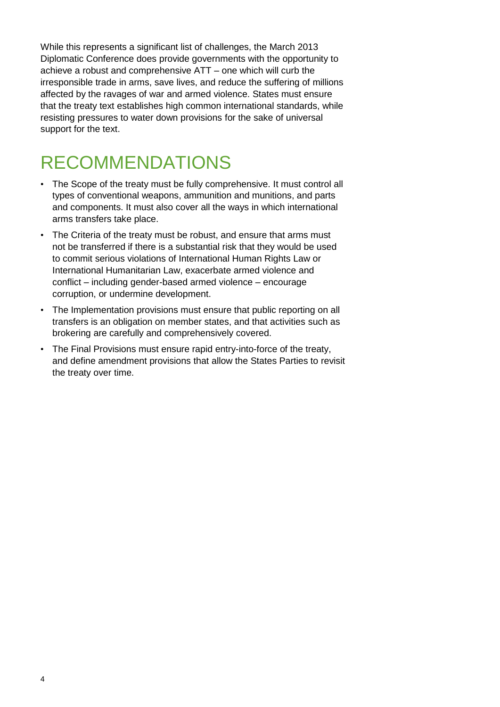While this represents a significant list of challenges, the March 2013 Diplomatic Conference does provide governments with the opportunity to achieve a robust and comprehensive ATT – one which will curb the irresponsible trade in arms, save lives, and reduce the suffering of millions affected by the ravages of war and armed violence. States must ensure that the treaty text establishes high common international standards, while resisting pressures to water down provisions for the sake of universal support for the text.

# RECOMMENDATIONS

- The Scope of the treaty must be fully comprehensive. It must control all types of conventional weapons, ammunition and munitions, and parts and components. It must also cover all the ways in which international arms transfers take place.
- The Criteria of the treaty must be robust, and ensure that arms must not be transferred if there is a substantial risk that they would be used to commit serious violations of International Human Rights Law or International Humanitarian Law, exacerbate armed violence and conflict – including gender-based armed violence – encourage corruption, or undermine development.
- The Implementation provisions must ensure that public reporting on all transfers is an obligation on member states, and that activities such as brokering are carefully and comprehensively covered.
- The Final Provisions must ensure rapid entry-into-force of the treaty, and define amendment provisions that allow the States Parties to revisit the treaty over time.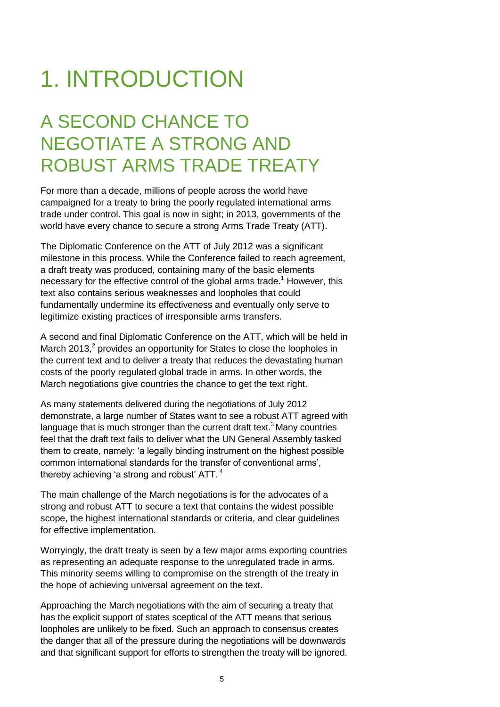# 1. INTRODUCTION

### A SECOND CHANCE TO NEGOTIATE A STRONG AND ROBUST ARMS TRADE TREATY

For more than a decade, millions of people across the world have campaigned for a treaty to bring the poorly regulated international arms trade under control. This goal is now in sight; in 2013, governments of the world have every chance to secure a strong Arms Trade Treaty (ATT).

The Diplomatic Conference on the ATT of July 2012 was a significant milestone in this process. While the Conference failed to reach agreement, a draft treaty was produced, containing many of the basic elements necessary for the effective control of the global arms trade.<sup>1</sup> However, this text also contains serious weaknesses and loopholes that could fundamentally undermine its effectiveness and eventually only serve to legitimize existing practices of irresponsible arms transfers.

A second and final Diplomatic Conference on the ATT, which will be held in March 2013, $^2$  provides an opportunity for States to close the loopholes in the current text and to deliver a treaty that reduces the devastating human costs of the poorly regulated global trade in arms. In other words, the March negotiations give countries the chance to get the text right.

As many statements delivered during the negotiations of July 2012 demonstrate, a large number of States want to see a robust ATT agreed with language that is much stronger than the current draft text.<sup>3</sup> Many countries feel that the draft text fails to deliver what the UN General Assembly tasked them to create, namely: ‗a legally binding instrument on the highest possible common international standards for the transfer of conventional arms', thereby achieving 'a strong and robust'  $ATT.$ <sup>4</sup>

The main challenge of the March negotiations is for the advocates of a strong and robust ATT to secure a text that contains the widest possible scope, the highest international standards or criteria, and clear guidelines for effective implementation.

Worryingly, the draft treaty is seen by a few major arms exporting countries as representing an adequate response to the unregulated trade in arms. This minority seems willing to compromise on the strength of the treaty in the hope of achieving universal agreement on the text.

Approaching the March negotiations with the aim of securing a treaty that has the explicit support of states sceptical of the ATT means that serious loopholes are unlikely to be fixed. Such an approach to consensus creates the danger that all of the pressure during the negotiations will be downwards and that significant support for efforts to strengthen the treaty will be ignored.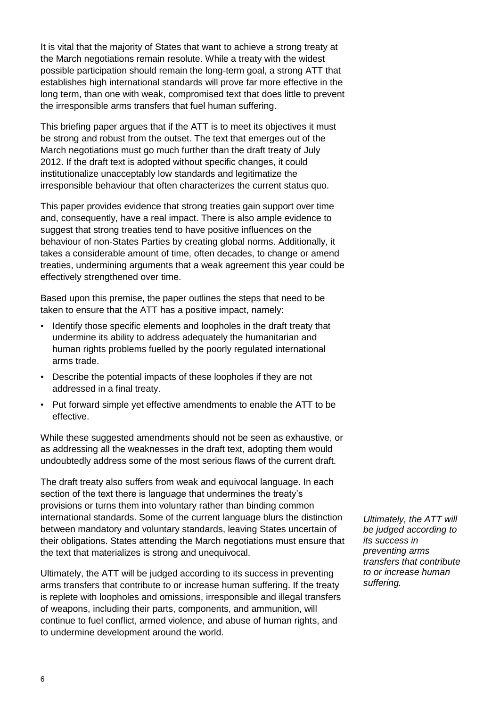It is vital that the majority of States that want to achieve a strong treaty at the March negotiations remain resolute. While a treaty with the widest possible participation should remain the long-term goal, a strong ATT that establishes high international standards will prove far more effective in the long term, than one with weak, compromised text that does little to prevent the irresponsible arms transfers that fuel human suffering.

This briefing paper argues that if the ATT is to meet its objectives it must be strong and robust from the outset. The text that emerges out of the March negotiations must go much further than the draft treaty of July 2012. If the draft text is adopted without specific changes, it could institutionalize unacceptably low standards and legitimatize the irresponsible behaviour that often characterizes the current status quo.

This paper provides evidence that strong treaties gain support over time and, consequently, have a real impact. There is also ample evidence to suggest that strong treaties tend to have positive influences on the behaviour of non-States Parties by creating global norms. Additionally, it takes a considerable amount of time, often decades, to change or amend treaties, undermining arguments that a weak agreement this year could be effectively strengthened over time.

Based upon this premise, the paper outlines the steps that need to be taken to ensure that the ATT has a positive impact, namely:

- Identify those specific elements and loopholes in the draft treaty that undermine its ability to address adequately the humanitarian and human rights problems fuelled by the poorly regulated international arms trade.
- Describe the potential impacts of these loopholes if they are not addressed in a final treaty.
- Put forward simple yet effective amendments to enable the ATT to be effective.

While these suggested amendments should not be seen as exhaustive, or as addressing all the weaknesses in the draft text, adopting them would undoubtedly address some of the most serious flaws of the current draft.

The draft treaty also suffers from weak and equivocal language. In each section of the text there is language that undermines the treaty's provisions or turns them into voluntary rather than binding common international standards. Some of the current language blurs the distinction between mandatory and voluntary standards, leaving States uncertain of their obligations. States attending the March negotiations must ensure that the text that materializes is strong and unequivocal.

Ultimately, the ATT will be judged according to its success in preventing arms transfers that contribute to or increase human suffering. If the treaty is replete with loopholes and omissions, irresponsible and illegal transfers of weapons, including their parts, components, and ammunition, will continue to fuel conflict, armed violence, and abuse of human rights, and to undermine development around the world.

*Ultimately, the ATT will be judged according to its success in preventing arms transfers that contribute to or increase human suffering.*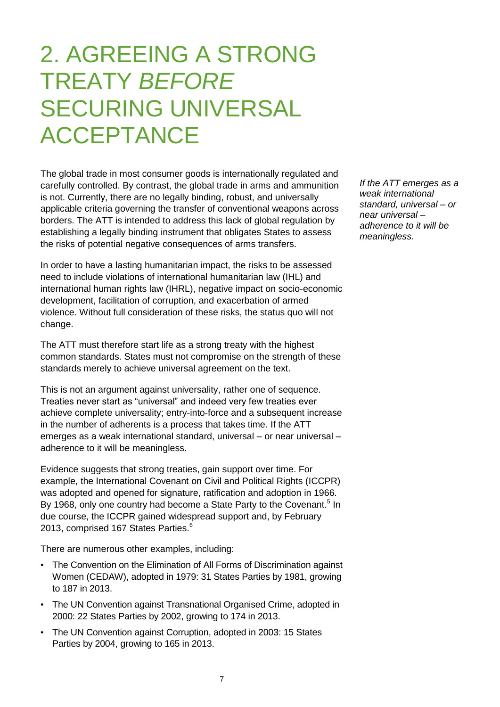# 2. AGREEING A STRONG TREATY *BEFORE* SECURING UNIVERSAL ACCEPTANCE

The global trade in most consumer goods is internationally regulated and carefully controlled. By contrast, the global trade in arms and ammunition is not. Currently, there are no legally binding, robust, and universally applicable criteria governing the transfer of conventional weapons across borders. The ATT is intended to address this lack of global regulation by establishing a legally binding instrument that obligates States to assess the risks of potential negative consequences of arms transfers.

In order to have a lasting humanitarian impact, the risks to be assessed need to include violations of international humanitarian law (IHL) and international human rights law (IHRL), negative impact on socio-economic development, facilitation of corruption, and exacerbation of armed violence. Without full consideration of these risks, the status quo will not change.

The ATT must therefore start life as a strong treaty with the highest common standards. States must not compromise on the strength of these standards merely to achieve universal agreement on the text.

This is not an argument against universality, rather one of sequence. Treaties never start as "universal" and indeed very few treaties ever achieve complete universality; entry-into-force and a subsequent increase in the number of adherents is a process that takes time. If the ATT emerges as a weak international standard, universal – or near universal – adherence to it will be meaningless.

Evidence suggests that strong treaties, gain support over time. For example, the International Covenant on Civil and Political Rights (ICCPR) was adopted and opened for signature, ratification and adoption in 1966. By 1968, only one country had become a State Party to the Covenant.<sup>5</sup> In due course, the ICCPR gained widespread support and, by February 2013, comprised 167 States Parties. $6$ 

There are numerous other examples, including:

- The Convention on the Elimination of All Forms of Discrimination against Women (CEDAW), adopted in 1979: 31 States Parties by 1981, growing to 187 in 2013.
- The UN Convention against Transnational Organised Crime, adopted in 2000: 22 States Parties by 2002, growing to 174 in 2013.
- The UN Convention against Corruption, adopted in 2003: 15 States Parties by 2004, growing to 165 in 2013.

*If the ATT emerges as a weak international standard, universal – or near universal – adherence to it will be meaningless.*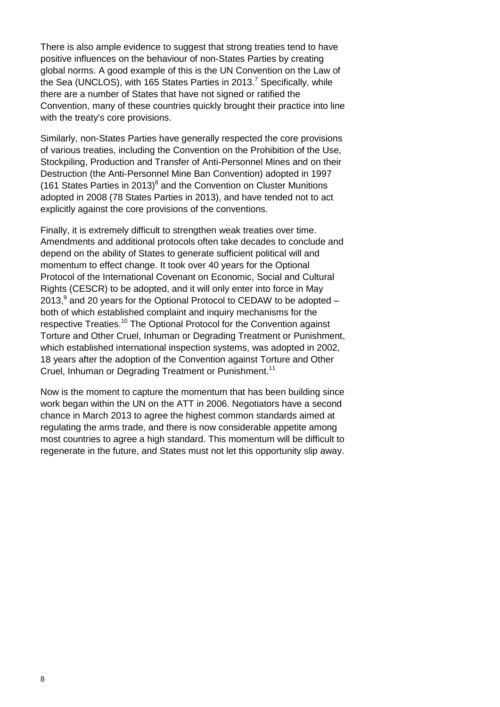There is also ample evidence to suggest that strong treaties tend to have positive influences on the behaviour of non-States Parties by creating global norms. A good example of this is the UN Convention on the Law of the Sea (UNCLOS), with 165 States Parties in 2013.<sup>7</sup> Specifically, while there are a number of States that have not signed or ratified the Convention, many of these countries quickly brought their practice into line with the treaty's core provisions.

Similarly, non-States Parties have generally respected the core provisions of various treaties, including the Convention on the Prohibition of the Use, Stockpiling, Production and Transfer of Anti-Personnel Mines and on their Destruction (the Anti-Personnel Mine Ban Convention) adopted in 1997 (161 States Parties in 2013) $^8$  and the Convention on Cluster Munitions adopted in 2008 (78 States Parties in 2013), and have tended not to act explicitly against the core provisions of the conventions.

Finally, it is extremely difficult to strengthen weak treaties over time. Amendments and additional protocols often take decades to conclude and depend on the ability of States to generate sufficient political will and momentum to effect change. It took over 40 years for the Optional Protocol of the International Covenant on Economic, Social and Cultural Rights (CESCR) to be adopted, and it will only enter into force in May 2013, $9$  and 20 years for the Optional Protocol to CEDAW to be adopted  $$ both of which established complaint and inquiry mechanisms for the respective Treaties.<sup>10</sup> The Optional Protocol for the Convention against Torture and Other Cruel, Inhuman or Degrading Treatment or Punishment, which established international inspection systems, was adopted in 2002, 18 years after the adoption of the Convention against Torture and Other Cruel, Inhuman or Degrading Treatment or Punishment.<sup>11</sup>

Now is the moment to capture the momentum that has been building since work began within the UN on the ATT in 2006. Negotiators have a second chance in March 2013 to agree the highest common standards aimed at regulating the arms trade, and there is now considerable appetite among most countries to agree a high standard. This momentum will be difficult to regenerate in the future, and States must not let this opportunity slip away.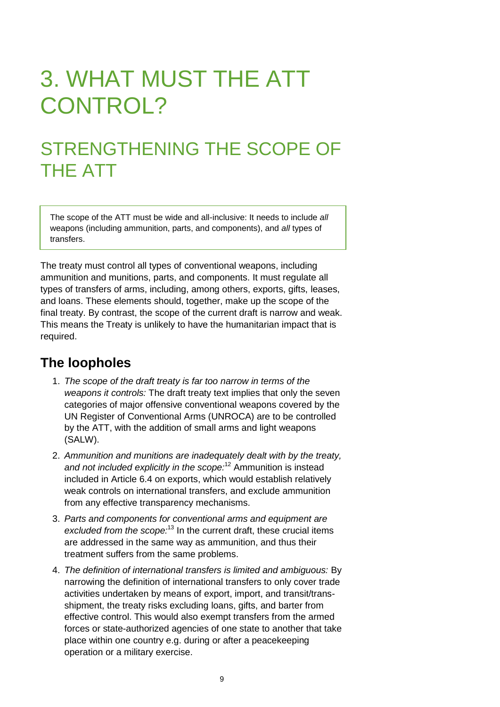# 3. WHAT MUST THE ATT CONTROL?

### STRENGTHENING THE SCOPE OF THE ATT

The scope of the ATT must be wide and all-inclusive: It needs to include *all* weapons (including ammunition, parts, and components), and *all* types of transfers.

The treaty must control all types of conventional weapons, including ammunition and munitions, parts, and components. It must regulate all types of transfers of arms, including, among others, exports, gifts, leases, and loans. These elements should, together, make up the scope of the final treaty. By contrast, the scope of the current draft is narrow and weak. This means the Treaty is unlikely to have the humanitarian impact that is required.

### **The loopholes**

- 1. *The scope of the draft treaty is far too narrow in terms of the weapons it controls:* The draft treaty text implies that only the seven categories of major offensive conventional weapons covered by the UN Register of Conventional Arms (UNROCA) are to be controlled by the ATT, with the addition of small arms and light weapons (SALW).
- 2. *Ammunition and munitions are inadequately dealt with by the treaty, and not included explicitly in the scope:*<sup>12</sup> Ammunition is instead included in Article 6.4 on exports, which would establish relatively weak controls on international transfers, and exclude ammunition from any effective transparency mechanisms.
- 3. *Parts and components for conventional arms and equipment are excluded from the scope:*<sup>13</sup> In the current draft, these crucial items are addressed in the same way as ammunition, and thus their treatment suffers from the same problems.
- 4. *The definition of international transfers is limited and ambiguous:* By narrowing the definition of international transfers to only cover trade activities undertaken by means of export, import, and transit/transshipment, the treaty risks excluding loans, gifts, and barter from effective control. This would also exempt transfers from the armed forces or state-authorized agencies of one state to another that take place within one country e.g. during or after a peacekeeping operation or a military exercise.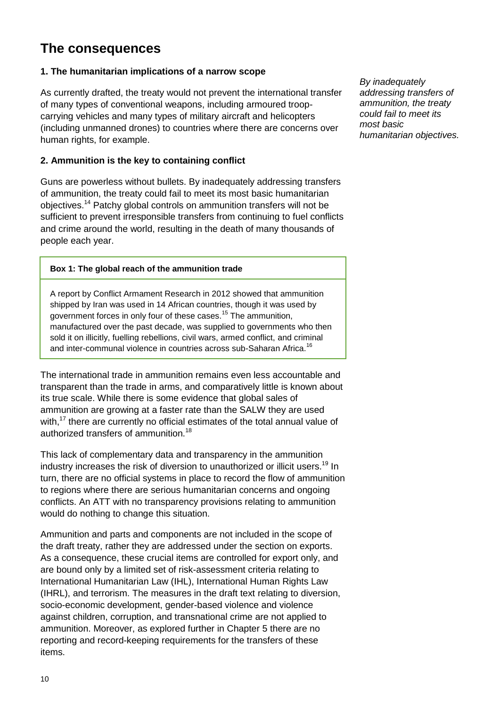### **The consequences**

#### **1. The humanitarian implications of a narrow scope**

As currently drafted, the treaty would not prevent the international transfer of many types of conventional weapons, including armoured troopcarrying vehicles and many types of military aircraft and helicopters (including unmanned drones) to countries where there are concerns over human rights, for example.

#### **2. Ammunition is the key to containing conflict**

Guns are powerless without bullets. By inadequately addressing transfers of ammunition, the treaty could fail to meet its most basic humanitarian objectives.<sup>14</sup> Patchy global controls on ammunition transfers will not be sufficient to prevent irresponsible transfers from continuing to fuel conflicts and crime around the world, resulting in the death of many thousands of people each year.

#### **Box 1: The global reach of the ammunition trade**

A report by Conflict Armament Research in 2012 showed that ammunition shipped by Iran was used in 14 African countries, though it was used by government forces in only four of these cases.<sup>15</sup> The ammunition, manufactured over the past decade, was supplied to governments who then sold it on illicitly, fuelling rebellions, civil wars, armed conflict, and criminal and inter-communal violence in countries across sub-Saharan Africa.<sup>16</sup>

The international trade in ammunition remains even less accountable and transparent than the trade in arms, and comparatively little is known about its true scale. While there is some evidence that global sales of ammunition are growing at a faster rate than the SALW they are used with,<sup>17</sup> there are currently no official estimates of the total annual value of authorized transfers of ammunition.<sup>18</sup>

This lack of complementary data and transparency in the ammunition industry increases the risk of diversion to unauthorized or illicit users.<sup>19</sup> In turn, there are no official systems in place to record the flow of ammunition to regions where there are serious humanitarian concerns and ongoing conflicts. An ATT with no transparency provisions relating to ammunition would do nothing to change this situation.

Ammunition and parts and components are not included in the scope of the draft treaty, rather they are addressed under the section on exports. As a consequence, these crucial items are controlled for export only, and are bound only by a limited set of risk-assessment criteria relating to International Humanitarian Law (IHL), International Human Rights Law (IHRL), and terrorism. The measures in the draft text relating to diversion, socio-economic development, gender-based violence and violence against children, corruption, and transnational crime are not applied to ammunition. Moreover, as explored further in Chapter 5 there are no reporting and record-keeping requirements for the transfers of these items.

*By inadequately addressing transfers of ammunition, the treaty could fail to meet its most basic humanitarian objectives.*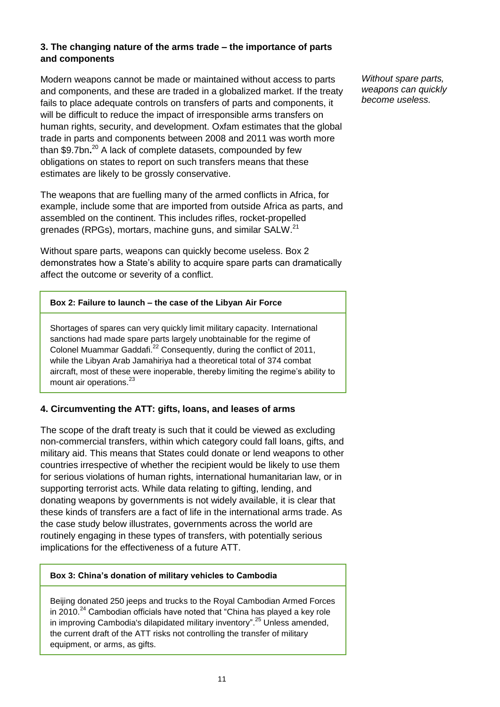#### **3. The changing nature of the arms trade – the importance of parts and components**

Modern weapons cannot be made or maintained without access to parts and components, and these are traded in a globalized market. If the treaty fails to place adequate controls on transfers of parts and components, it will be difficult to reduce the impact of irresponsible arms transfers on human rights, security, and development. Oxfam estimates that the global trade in parts and components between 2008 and 2011 was worth more than \$9.7bn**.** <sup>20</sup> A lack of complete datasets, compounded by few obligations on states to report on such transfers means that these estimates are likely to be grossly conservative.

The weapons that are fuelling many of the armed conflicts in Africa, for example, include some that are imported from outside Africa as parts, and assembled on the continent. This includes rifles, rocket-propelled grenades (RPGs), mortars, machine guns, and similar SALW.<sup>21</sup>

Without spare parts, weapons can quickly become useless. Box 2 demonstrates how a State's ability to acquire spare parts can dramatically affect the outcome or severity of a conflict.

#### **Box 2: Failure to launch – the case of the Libyan Air Force**

Shortages of spares can very quickly limit military capacity. International sanctions had made spare parts largely unobtainable for the regime of Colonel Muammar Gaddafi.<sup>22</sup> Consequently, during the conflict of 2011, while the Libyan Arab Jamahiriya had a theoretical total of 374 combat aircraft, most of these were inoperable, thereby limiting the regime's ability to mount air operations.<sup>23</sup>

#### **4. Circumventing the ATT: gifts, loans, and leases of arms**

The scope of the draft treaty is such that it could be viewed as excluding non-commercial transfers, within which category could fall loans, gifts, and military aid. This means that States could donate or lend weapons to other countries irrespective of whether the recipient would be likely to use them for serious violations of human rights, international humanitarian law, or in supporting terrorist acts. While data relating to gifting, lending, and donating weapons by governments is not widely available, it is clear that these kinds of transfers are a fact of life in the international arms trade. As the case study below illustrates, governments across the world are routinely engaging in these types of transfers, with potentially serious implications for the effectiveness of a future ATT.

#### **Box 3: China's donation of military vehicles to Cambodia**

Beijing donated 250 jeeps and trucks to the Royal Cambodian Armed Forces in  $2010.<sup>24</sup>$  Cambodian officials have noted that "China has played a key role in improving Cambodia's dilapidated military inventory".<sup>25</sup> Unless amended, the current draft of the ATT risks not controlling the transfer of military equipment, or arms, as gifts.

*Without spare parts, weapons can quickly become useless.*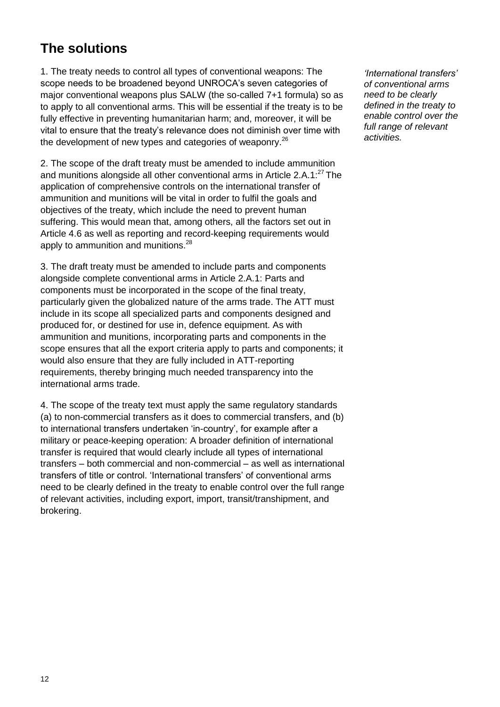### **The solutions**

1. The treaty needs to control all types of conventional weapons: The scope needs to be broadened beyond UNROCA's seven categories of major conventional weapons plus SALW (the so-called 7+1 formula) so as to apply to all conventional arms. This will be essential if the treaty is to be fully effective in preventing humanitarian harm; and, moreover, it will be vital to ensure that the treaty's relevance does not diminish over time with the development of new types and categories of weaponry.<sup>26</sup>

2. The scope of the draft treaty must be amended to include ammunition and munitions alongside all other conventional arms in Article 2.A.1:<sup>27</sup> The application of comprehensive controls on the international transfer of ammunition and munitions will be vital in order to fulfil the goals and objectives of the treaty, which include the need to prevent human suffering. This would mean that, among others, all the factors set out in Article 4.6 as well as reporting and record-keeping requirements would apply to ammunition and munitions.<sup>28</sup>

3. The draft treaty must be amended to include parts and components alongside complete conventional arms in Article 2.A.1: Parts and components must be incorporated in the scope of the final treaty, particularly given the globalized nature of the arms trade. The ATT must include in its scope all specialized parts and components designed and produced for, or destined for use in, defence equipment. As with ammunition and munitions, incorporating parts and components in the scope ensures that all the export criteria apply to parts and components; it would also ensure that they are fully included in ATT-reporting requirements, thereby bringing much needed transparency into the international arms trade.

4. The scope of the treaty text must apply the same regulatory standards (a) to non-commercial transfers as it does to commercial transfers, and (b) to international transfers undertaken 'in-country', for example after a military or peace-keeping operation: A broader definition of international transfer is required that would clearly include all types of international transfers – both commercial and non-commercial – as well as international transfers of title or control. 'International transfers' of conventional arms need to be clearly defined in the treaty to enable control over the full range of relevant activities, including export, import, transit/transhipment, and brokering.

*'International transfers' of conventional arms need to be clearly defined in the treaty to enable control over the full range of relevant activities.*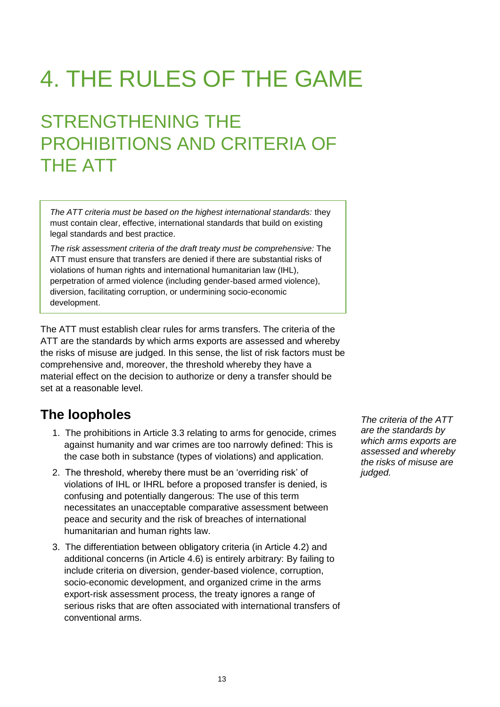# 4. THE RULES OF THE GAME

# STRENGTHENING THE PROHIBITIONS AND CRITERIA OF THE ATT

*The ATT criteria must be based on the highest international standards:* they must contain clear, effective, international standards that build on existing legal standards and best practice.

*The risk assessment criteria of the draft treaty must be comprehensive:* The ATT must ensure that transfers are denied if there are substantial risks of violations of human rights and international humanitarian law (IHL), perpetration of armed violence (including gender-based armed violence), diversion, facilitating corruption, or undermining socio-economic development.

The ATT must establish clear rules for arms transfers. The criteria of the ATT are the standards by which arms exports are assessed and whereby the risks of misuse are judged. In this sense, the list of risk factors must be comprehensive and, moreover, the threshold whereby they have a material effect on the decision to authorize or deny a transfer should be set at a reasonable level.

### **The loopholes**

- 1. The prohibitions in Article 3.3 relating to arms for genocide, crimes against humanity and war crimes are too narrowly defined: This is the case both in substance (types of violations) and application.
- 2. The threshold, whereby there must be an 'overriding risk' of violations of IHL or IHRL before a proposed transfer is denied, is confusing and potentially dangerous: The use of this term necessitates an unacceptable comparative assessment between peace and security and the risk of breaches of international humanitarian and human rights law.
- 3. The differentiation between obligatory criteria (in Article 4.2) and additional concerns (in Article 4.6) is entirely arbitrary: By failing to include criteria on diversion, gender-based violence, corruption, socio-economic development, and organized crime in the arms export-risk assessment process, the treaty ignores a range of serious risks that are often associated with international transfers of conventional arms.

*The criteria of the ATT are the standards by which arms exports are assessed and whereby the risks of misuse are judged.*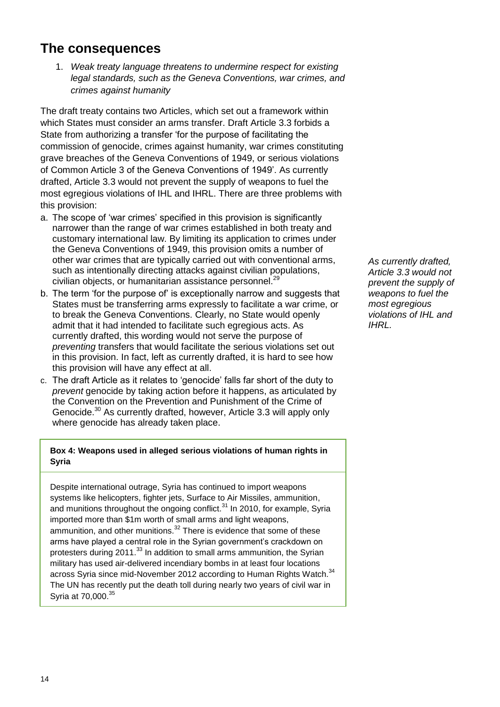### **The consequences**

1. *Weak treaty language threatens to undermine respect for existing legal standards, such as the Geneva Conventions, war crimes, and crimes against humanity*

The draft treaty contains two Articles, which set out a framework within which States must consider an arms transfer. Draft Article 3.3 forbids a State from authorizing a transfer 'for the purpose of facilitating the commission of genocide, crimes against humanity, war crimes constituting grave breaches of the Geneva Conventions of 1949, or serious violations of Common Article 3 of the Geneva Conventions of 1949'. As currently drafted, Article 3.3 would not prevent the supply of weapons to fuel the most egregious violations of IHL and IHRL. There are three problems with this provision:

- a. The scope of 'war crimes' specified in this provision is significantly narrower than the range of war crimes established in both treaty and customary international law. By limiting its application to crimes under the Geneva Conventions of 1949, this provision omits a number of other war crimes that are typically carried out with conventional arms, such as intentionally directing attacks against civilian populations, civilian objects, or humanitarian assistance personnel. 29
- b. The term 'for the purpose of' is exceptionally narrow and suggests that States must be transferring arms expressly to facilitate a war crime, or to break the Geneva Conventions. Clearly, no State would openly admit that it had intended to facilitate such egregious acts. As currently drafted, this wording would not serve the purpose of *preventing* transfers that would facilitate the serious violations set out in this provision. In fact, left as currently drafted, it is hard to see how this provision will have any effect at all.
- c. The draft Article as it relates to 'genocide' falls far short of the duty to *prevent* genocide by taking action before it happens, as articulated by the Convention on the Prevention and Punishment of the Crime of Genocide.<sup>30</sup> As currently drafted, however, Article 3.3 will apply only where genocide has already taken place.

#### **Box 4: Weapons used in alleged serious violations of human rights in Syria**

Despite international outrage, Syria has continued to import weapons systems like helicopters, fighter jets, Surface to Air Missiles, ammunition, and munitions throughout the ongoing conflict. $31$  In 2010, for example, Syria imported more than \$1m worth of small arms and light weapons, ammunition, and other munitions.<sup>32</sup> There is evidence that some of these arms have played a central role in the Syrian government's crackdown on protesters during 2011.<sup>33</sup> In addition to small arms ammunition, the Syrian military has used air-delivered incendiary bombs in at least four locations across Syria since mid-November 2012 according to Human Rights Watch.<sup>34</sup> The UN has recently put the death toll during nearly two years of civil war in Syria at 70,000.<sup>35</sup>

*As currently drafted, Article 3.3 would not prevent the supply of weapons to fuel the most egregious violations of IHL and IHRL.*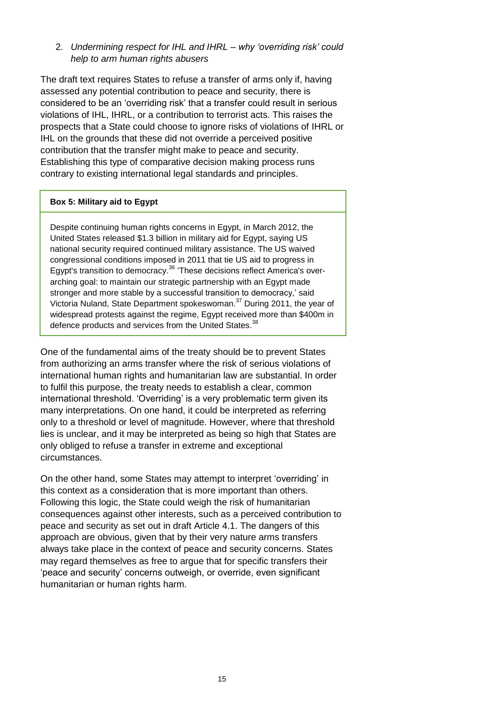#### 2. *Undermining respect for IHL and IHRL – why 'overriding risk' could help to arm human rights abusers*

The draft text requires States to refuse a transfer of arms only if, having assessed any potential contribution to peace and security, there is considered to be an 'overriding risk' that a transfer could result in serious violations of IHL, IHRL, or a contribution to terrorist acts. This raises the prospects that a State could choose to ignore risks of violations of IHRL or IHL on the grounds that these did not override a perceived positive contribution that the transfer might make to peace and security. Establishing this type of comparative decision making process runs contrary to existing international legal standards and principles.

#### **Box 5: Military aid to Egypt**

Despite continuing human rights concerns in Egypt, in March 2012, the United States released \$1.3 billion in military aid for Egypt, saying US national security required continued military assistance. The US waived congressional conditions imposed in 2011 that tie US aid to progress in Egypt's transition to democracy.<sup>36</sup> 'These decisions reflect America's overarching goal: to maintain our strategic partnership with an Egypt made stronger and more stable by a successful transition to democracy,' said Victoria Nuland, State Department spokeswoman.<sup>37</sup> During 2011, the year of widespread protests against the regime, Egypt received more than \$400m in defence products and services from the United States.<sup>38</sup>

One of the fundamental aims of the treaty should be to prevent States from authorizing an arms transfer where the risk of serious violations of international human rights and humanitarian law are substantial. In order to fulfil this purpose, the treaty needs to establish a clear, common international threshold. 'Overriding' is a very problematic term given its many interpretations. On one hand, it could be interpreted as referring only to a threshold or level of magnitude. However, where that threshold lies is unclear, and it may be interpreted as being so high that States are only obliged to refuse a transfer in extreme and exceptional circumstances.

On the other hand, some States may attempt to interpret 'overriding' in this context as a consideration that is more important than others. Following this logic, the State could weigh the risk of humanitarian consequences against other interests, such as a perceived contribution to peace and security as set out in draft Article 4.1. The dangers of this approach are obvious, given that by their very nature arms transfers always take place in the context of peace and security concerns. States may regard themselves as free to argue that for specific transfers their ‗peace and security' concerns outweigh, or override, even significant humanitarian or human rights harm.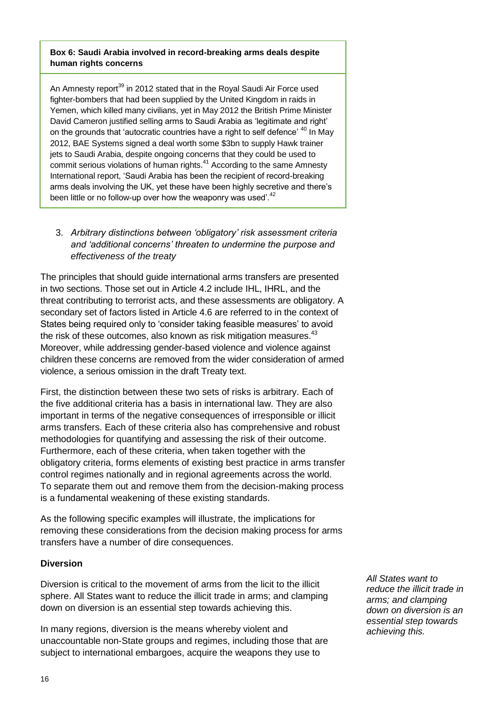#### **Box 6: Saudi Arabia involved in record-breaking arms deals despite human rights concerns**

An Amnesty report<sup>39</sup> in 2012 stated that in the Royal Saudi Air Force used fighter-bombers that had been supplied by the United Kingdom in raids in Yemen, which killed many civilians, yet in May 2012 the British Prime Minister David Cameron justified selling arms to Saudi Arabia as 'legitimate and right' on the grounds that 'autocratic countries have a right to self defence' <sup>40</sup> In May 2012, BAE Systems signed a deal worth some \$3bn to supply Hawk trainer jets to Saudi Arabia, despite ongoing concerns that they could be used to commit serious violations of human rights.<sup>41</sup> According to the same Amnesty International report, 'Saudi Arabia has been the recipient of record-breaking arms deals involving the UK, yet these have been highly secretive and there's been little or no follow-up over how the weaponry was used<sup>".42</sup>

3. *Arbitrary distinctions between 'obligatory' risk assessment criteria and 'additional concerns' threaten to undermine the purpose and effectiveness of the treaty*

The principles that should guide international arms transfers are presented in two sections. Those set out in Article 4.2 include IHL, IHRL, and the threat contributing to terrorist acts, and these assessments are obligatory. A secondary set of factors listed in Article 4.6 are referred to in the context of States being required only to 'consider taking feasible measures' to avoid the risk of these outcomes, also known as risk mitigation measures.<sup>43</sup> Moreover, while addressing gender-based violence and violence against children these concerns are removed from the wider consideration of armed violence, a serious omission in the draft Treaty text.

First, the distinction between these two sets of risks is arbitrary. Each of the five additional criteria has a basis in international law. They are also important in terms of the negative consequences of irresponsible or illicit arms transfers. Each of these criteria also has comprehensive and robust methodologies for quantifying and assessing the risk of their outcome. Furthermore, each of these criteria, when taken together with the obligatory criteria, forms elements of existing best practice in arms transfer control regimes nationally and in regional agreements across the world. To separate them out and remove them from the decision-making process is a fundamental weakening of these existing standards.

As the following specific examples will illustrate, the implications for removing these considerations from the decision making process for arms transfers have a number of dire consequences.

#### **Diversion**

Diversion is critical to the movement of arms from the licit to the illicit sphere. All States want to reduce the illicit trade in arms; and clamping down on diversion is an essential step towards achieving this.

In many regions, diversion is the means whereby violent and unaccountable non-State groups and regimes, including those that are subject to international embargoes, acquire the weapons they use to

*All States want to reduce the illicit trade in arms; and clamping down on diversion is an essential step towards achieving this.*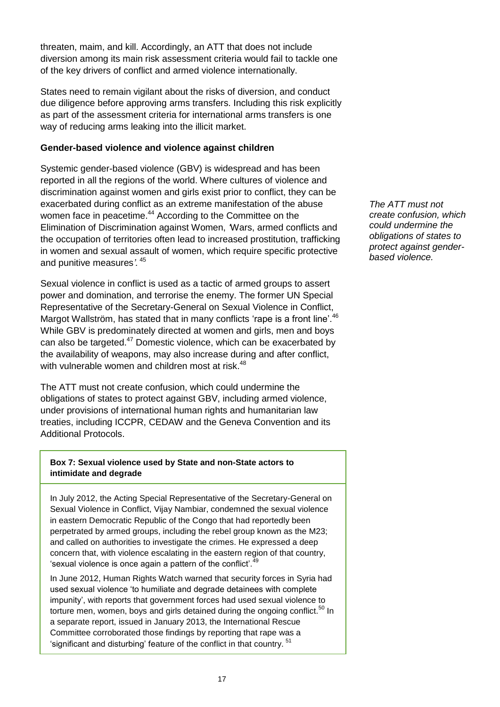threaten, maim, and kill. Accordingly, an ATT that does not include diversion among its main risk assessment criteria would fail to tackle one of the key drivers of conflict and armed violence internationally.

States need to remain vigilant about the risks of diversion, and conduct due diligence before approving arms transfers. Including this risk explicitly as part of the assessment criteria for international arms transfers is one way of reducing arms leaking into the illicit market.

#### **Gender-based violence and violence against children**

Systemic gender-based violence (GBV) is widespread and has been reported in all the regions of the world. Where cultures of violence and discrimination against women and girls exist prior to conflict, they can be exacerbated during conflict as an extreme manifestation of the abuse women face in peacetime.<sup>44</sup> According to the Committee on the Elimination of Discrimination against Women, *'*Wars, armed conflicts and the occupation of territories often lead to increased prostitution, trafficking in women and sexual assault of women, which require specific protective and punitive measures*'.* <sup>45</sup>

Sexual violence in conflict is used as a tactic of armed groups to assert power and domination, and terrorise the enemy. The former UN Special Representative of the Secretary-General on Sexual Violence in Conflict, Margot Wallström, has stated that in many conflicts 'rape is a front line'.<sup>46</sup> While GBV is predominately directed at women and girls, men and boys can also be targeted.<sup>47</sup> Domestic violence, which can be exacerbated by the availability of weapons, may also increase during and after conflict, with vulnerable women and children most at risk.<sup>48</sup>

The ATT must not create confusion, which could undermine the obligations of states to protect against GBV, including armed violence, under provisions of international human rights and humanitarian law treaties, including ICCPR, CEDAW and the Geneva Convention and its Additional Protocols.

#### **Box 7: Sexual violence used by State and non-State actors to intimidate and degrade**

In July 2012, the Acting Special Representative of the Secretary-General on Sexual Violence in Conflict, Vijay Nambiar, condemned the sexual violence in eastern Democratic Republic of the Congo that had reportedly been perpetrated by armed groups, including the rebel group known as the M23; and called on authorities to investigate the crimes. He expressed a deep concern that, with violence escalating in the eastern region of that country, 'sexual violence is once again a pattern of the conflict'.<sup>49</sup>

In June 2012, Human Rights Watch warned that security forces in Syria had used sexual violence 'to humiliate and degrade detainees with complete impunity', with reports that government forces had used sexual violence to torture men, women, boys and girls detained during the ongoing conflict.<sup>50</sup> In a separate report, issued in January 2013, the International Rescue Committee corroborated those findings by reporting that rape was a 'significant and disturbing' feature of the conflict in that country.<sup>51</sup>

*The ATT must not create confusion, which could undermine the obligations of states to protect against genderbased violence.*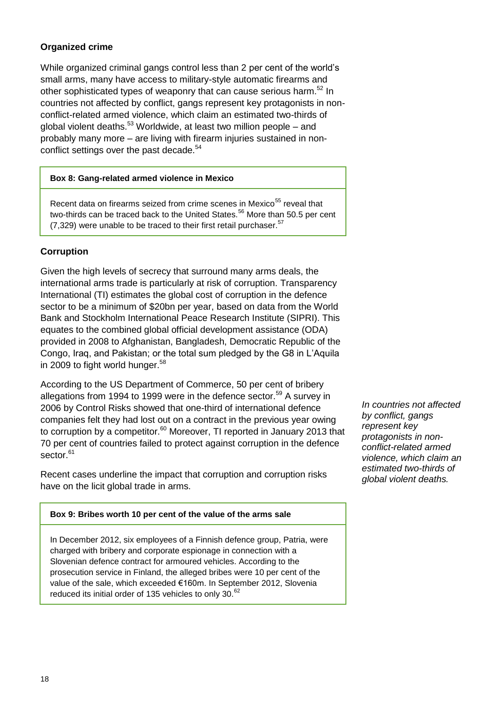#### **Organized crime**

While organized criminal gangs control less than 2 per cent of the world's small arms, many have access to military-style automatic firearms and other sophisticated types of weaponry that can cause serious harm.<sup>52</sup> In countries not affected by conflict, gangs represent key protagonists in nonconflict-related armed violence, which claim an estimated two-thirds of global violent deaths.<sup>53</sup> Worldwide, at least two million people – and probably many more – are living with firearm injuries sustained in nonconflict settings over the past decade.<sup>54</sup>

#### **Box 8: Gang-related armed violence in Mexico**

Recent data on firearms seized from crime scenes in Mexico<sup>55</sup> reveal that two-thirds can be traced back to the United States.<sup>56</sup> More than 50.5 per cent  $(7,329)$  were unable to be traced to their first retail purchaser.<sup>57</sup>

#### **Corruption**

Given the high levels of secrecy that surround many arms deals, the international arms trade is particularly at risk of corruption. Transparency International (TI) estimates the global cost of corruption in the defence sector to be a minimum of \$20bn per year, based on data from the World Bank and Stockholm International Peace Research Institute (SIPRI). This equates to the combined global official development assistance (ODA) provided in 2008 to Afghanistan, Bangladesh, Democratic Republic of the Congo, Iraq, and Pakistan; or the total sum pledged by the G8 in L'Aquila in 2009 to fight world hunger.<sup>58</sup>

According to the US Department of Commerce, 50 per cent of bribery allegations from 1994 to 1999 were in the defence sector.<sup>59</sup> A survey in 2006 by Control Risks showed that one-third of international defence companies felt they had lost out on a contract in the previous year owing to corruption by a competitor.<sup>60</sup> Moreover, TI reported in January 2013 that 70 per cent of countries failed to protect against corruption in the defence sector.<sup>61</sup>

Recent cases underline the impact that corruption and corruption risks have on the licit global trade in arms.

*by conflict, gangs represent key protagonists in nonconflict-related armed violence, which claim an estimated two-thirds of global violent deaths.*

*In countries not affected* 

#### **Box 9: Bribes worth 10 per cent of the value of the arms sale**

In December 2012, six employees of a Finnish defence group, Patria, were charged with bribery and corporate espionage in connection with a Slovenian defence contract for armoured vehicles. According to the prosecution service in Finland, the alleged bribes were 10 per cent of the value of the sale, which exceeded €160m. In September 2012, Slovenia reduced its initial order of 135 vehicles to only 30.<sup>62</sup>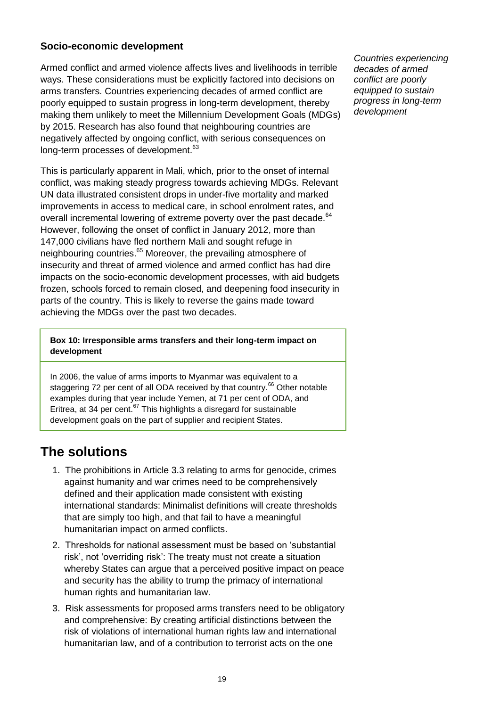#### **Socio-economic development**

Armed conflict and armed violence affects lives and livelihoods in terrible ways. These considerations must be explicitly factored into decisions on arms transfers. Countries experiencing decades of armed conflict are poorly equipped to sustain progress in long-term development, thereby making them unlikely to meet the Millennium Development Goals (MDGs) by 2015. Research has also found that neighbouring countries are negatively affected by ongoing conflict, with serious consequences on long-term processes of development.<sup>63</sup>

This is particularly apparent in Mali, which, prior to the onset of internal conflict, was making steady progress towards achieving MDGs. Relevant UN data illustrated consistent drops in under-five mortality and marked improvements in access to medical care, in school enrolment rates, and overall incremental lowering of extreme poverty over the past decade.<sup>64</sup> However, following the onset of conflict in January 2012, more than 147,000 civilians have fled northern Mali and sought refuge in neighbouring countries.<sup>65</sup> Moreover, the prevailing atmosphere of insecurity and threat of armed violence and armed conflict has had dire impacts on the socio-economic development processes, with aid budgets frozen, schools forced to remain closed, and deepening food insecurity in parts of the country. This is likely to reverse the gains made toward achieving the MDGs over the past two decades.

**Box 10: Irresponsible arms transfers and their long-term impact on development**

In 2006, the value of arms imports to Myanmar was equivalent to a staggering 72 per cent of all ODA received by that country.<sup>66</sup> Other notable examples during that year include Yemen, at 71 per cent of ODA, and Eritrea, at 34 per cent. $67$  This highlights a disregard for sustainable development goals on the part of supplier and recipient States.

### **The solutions**

- 1. The prohibitions in Article 3.3 relating to arms for genocide, crimes against humanity and war crimes need to be comprehensively defined and their application made consistent with existing international standards: Minimalist definitions will create thresholds that are simply too high, and that fail to have a meaningful humanitarian impact on armed conflicts.
- 2. Thresholds for national assessment must be based on 'substantial risk', not 'overriding risk': The treaty must not create a situation whereby States can argue that a perceived positive impact on peace and security has the ability to trump the primacy of international human rights and humanitarian law.
- 3. Risk assessments for proposed arms transfers need to be obligatory and comprehensive: By creating artificial distinctions between the risk of violations of international human rights law and international humanitarian law, and of a contribution to terrorist acts on the one

*Countries experiencing decades of armed conflict are poorly equipped to sustain progress in long-term development*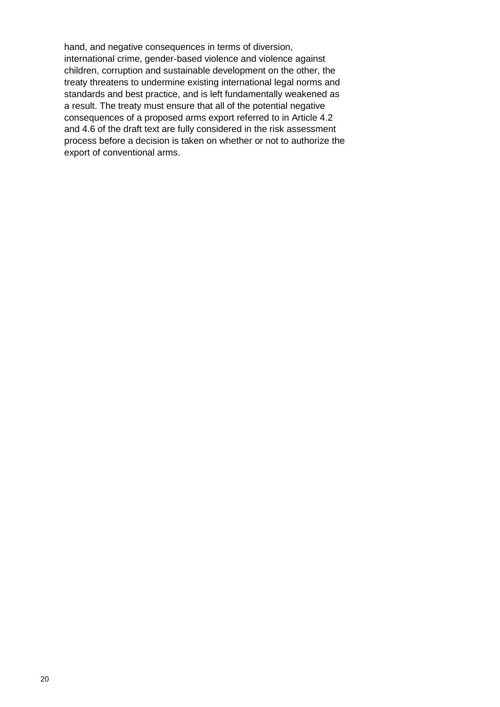hand, and negative consequences in terms of diversion, international crime, gender-based violence and violence against children, corruption and sustainable development on the other, the treaty threatens to undermine existing international legal norms and standards and best practice, and is left fundamentally weakened as a result. The treaty must ensure that all of the potential negative consequences of a proposed arms export referred to in Article 4.2 and 4.6 of the draft text are fully considered in the risk assessment process before a decision is taken on whether or not to authorize the export of conventional arms.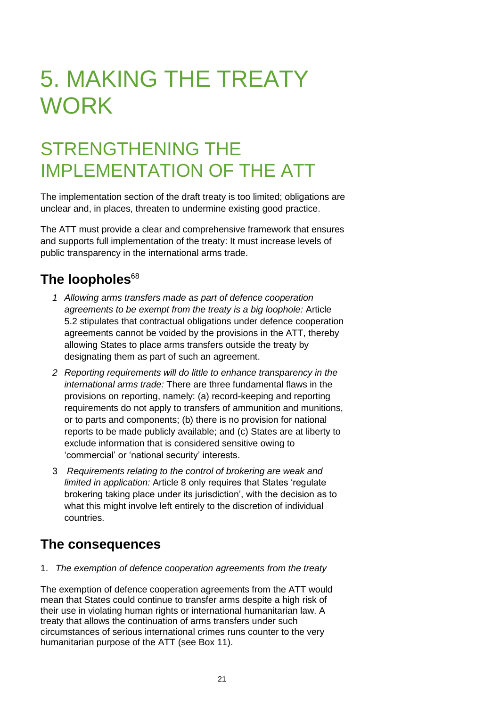# 5. MAKING THE TREATY **WORK**

# STRENGTHENING THE IMPLEMENTATION OF THE ATT

The implementation section of the draft treaty is too limited; obligations are unclear and, in places, threaten to undermine existing good practice.

The ATT must provide a clear and comprehensive framework that ensures and supports full implementation of the treaty: It must increase levels of public transparency in the international arms trade.

### The loopholes<sup>68</sup>

- *1 Allowing arms transfers made as part of defence cooperation agreements to be exempt from the treaty is a big loophole:* Article 5.2 stipulates that contractual obligations under defence cooperation agreements cannot be voided by the provisions in the ATT, thereby allowing States to place arms transfers outside the treaty by designating them as part of such an agreement.
- *2 Reporting requirements will do little to enhance transparency in the international arms trade:* There are three fundamental flaws in the provisions on reporting, namely: (a) record-keeping and reporting requirements do not apply to transfers of ammunition and munitions, or to parts and components; (b) there is no provision for national reports to be made publicly available; and (c) States are at liberty to exclude information that is considered sensitive owing to 'commercial' or 'national security' interests.
- 3 *Requirements relating to the control of brokering are weak and limited in application:* Article 8 only requires that States 'requiate brokering taking place under its jurisdiction', with the decision as to what this might involve left entirely to the discretion of individual countries.

### **The consequences**

1. *The exemption of defence cooperation agreements from the treaty* 

The exemption of defence cooperation agreements from the ATT would mean that States could continue to transfer arms despite a high risk of their use in violating human rights or international humanitarian law. A treaty that allows the continuation of arms transfers under such circumstances of serious international crimes runs counter to the very humanitarian purpose of the ATT (see Box 11).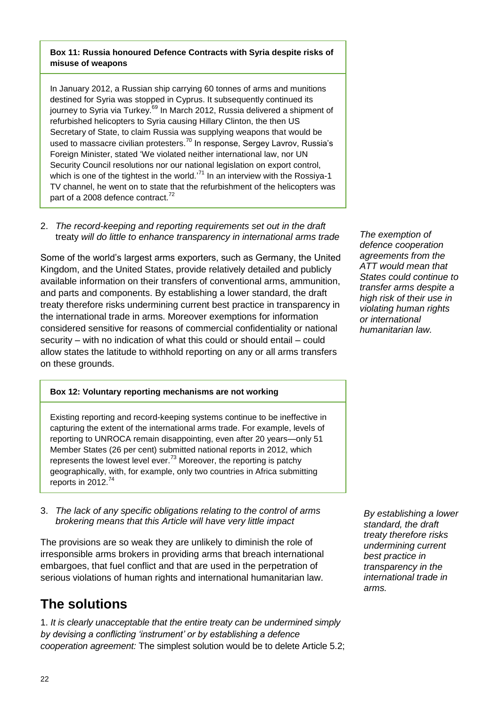#### **Box 11: Russia honoured Defence Contracts with Syria despite risks of misuse of weapons**

In January 2012, a Russian ship carrying 60 tonnes of arms and munitions destined for Syria was stopped in Cyprus. It subsequently continued its journey to Syria via Turkey.<sup>69</sup> In March 2012, Russia delivered a shipment of refurbished helicopters to Syria causing Hillary Clinton, the then US Secretary of State, to claim Russia was supplying weapons that would be used to massacre civilian protesters.<sup>70</sup> In response, Sergey Lavrov, Russia's Foreign Minister, stated ‗We violated neither international law, nor UN Security Council resolutions nor our national legislation on export control, which is one of the tightest in the world. $171$  In an interview with the Rossiya-1 TV channel, he went on to state that the refurbishment of the helicopters was part of a 2008 defence contract.<sup>72</sup>

#### 2. *The record-keeping and reporting requirements set out in the draft*  treaty *will do little to enhance transparency in international arms trade*

Some of the world's largest arms exporters, such as Germany, the United Kingdom, and the United States, provide relatively detailed and publicly available information on their transfers of conventional arms, ammunition, and parts and components. By establishing a lower standard, the draft treaty therefore risks undermining current best practice in transparency in the international trade in arms. Moreover exemptions for information considered sensitive for reasons of commercial confidentiality or national security – with no indication of what this could or should entail – could allow states the latitude to withhold reporting on any or all arms transfers on these grounds.

*The exemption of defence cooperation agreements from the ATT would mean that States could continue to transfer arms despite a high risk of their use in violating human rights or international humanitarian law.*

#### **Box 12: Voluntary reporting mechanisms are not working**

Existing reporting and record-keeping systems continue to be ineffective in capturing the extent of the international arms trade. For example, levels of reporting to UNROCA remain disappointing, even after 20 years—only 51 Member States (26 per cent) submitted national reports in 2012, which represents the lowest level ever.<sup>73</sup> Moreover, the reporting is patchy geographically, with, for example, only two countries in Africa submitting reports in 2012.<sup>74</sup>

#### 3. *The lack of any specific obligations relating to the control of arms brokering means that this Article will have very little impact*

The provisions are so weak they are unlikely to diminish the role of irresponsible arms brokers in providing arms that breach international embargoes, that fuel conflict and that are used in the perpetration of serious violations of human rights and international humanitarian law.

### **The solutions**

1. *It is clearly unacceptable that the entire treaty can be undermined simply by devising a conflicting 'instrument' or by establishing a defence cooperation agreement:* The simplest solution would be to delete Article 5.2;

*By establishing a lower standard, the draft treaty therefore risks undermining current best practice in transparency in the international trade in arms.*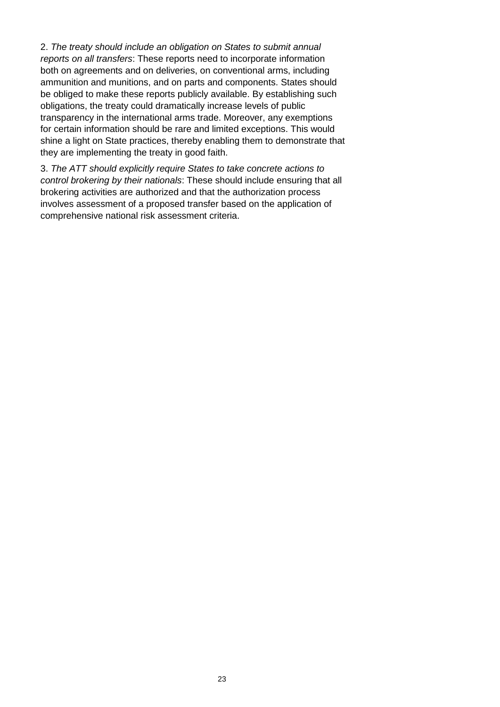2. *The treaty should include an obligation on States to submit annual reports on all transfers*: These reports need to incorporate information both on agreements and on deliveries, on conventional arms, including ammunition and munitions, and on parts and components. States should be obliged to make these reports publicly available. By establishing such obligations, the treaty could dramatically increase levels of public transparency in the international arms trade. Moreover, any exemptions for certain information should be rare and limited exceptions. This would shine a light on State practices, thereby enabling them to demonstrate that they are implementing the treaty in good faith.

3. *The ATT should explicitly require States to take concrete actions to control brokering by their nationals*: These should include ensuring that all brokering activities are authorized and that the authorization process involves assessment of a proposed transfer based on the application of comprehensive national risk assessment criteria.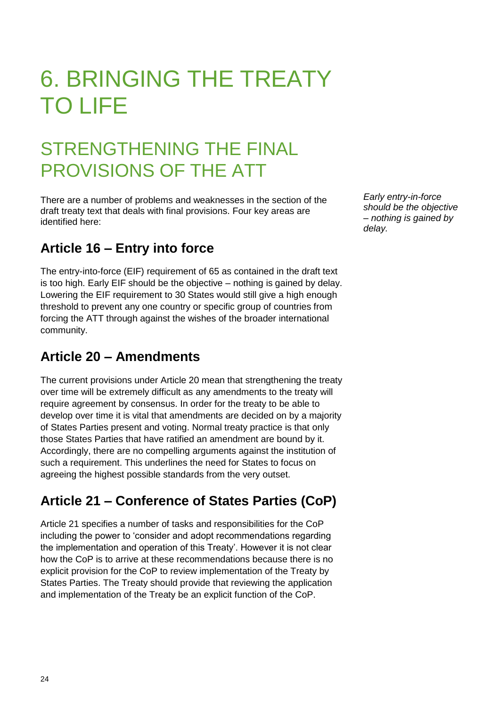# 6. BRINGING THE TREATY TO LIFE

# STRENGTHENING THE FINAL PROVISIONS OF THE ATT

There are a number of problems and weaknesses in the section of the draft treaty text that deals with final provisions. Four key areas are identified here:

### **Article 16 – Entry into force**

The entry-into-force (EIF) requirement of 65 as contained in the draft text is too high. Early EIF should be the objective – nothing is gained by delay. Lowering the EIF requirement to 30 States would still give a high enough threshold to prevent any one country or specific group of countries from forcing the ATT through against the wishes of the broader international community.

### **Article 20 – Amendments**

The current provisions under Article 20 mean that strengthening the treaty over time will be extremely difficult as any amendments to the treaty will require agreement by consensus. In order for the treaty to be able to develop over time it is vital that amendments are decided on by a majority of States Parties present and voting. Normal treaty practice is that only those States Parties that have ratified an amendment are bound by it. Accordingly, there are no compelling arguments against the institution of such a requirement. This underlines the need for States to focus on agreeing the highest possible standards from the very outset.

### **Article 21 – Conference of States Parties (CoP)**

Article 21 specifies a number of tasks and responsibilities for the CoP including the power to 'consider and adopt recommendations regarding the implementation and operation of this Treaty'. However it is not clear how the CoP is to arrive at these recommendations because there is no explicit provision for the CoP to review implementation of the Treaty by States Parties. The Treaty should provide that reviewing the application and implementation of the Treaty be an explicit function of the CoP.

*Early entry-in-force should be the objective – nothing is gained by delay.*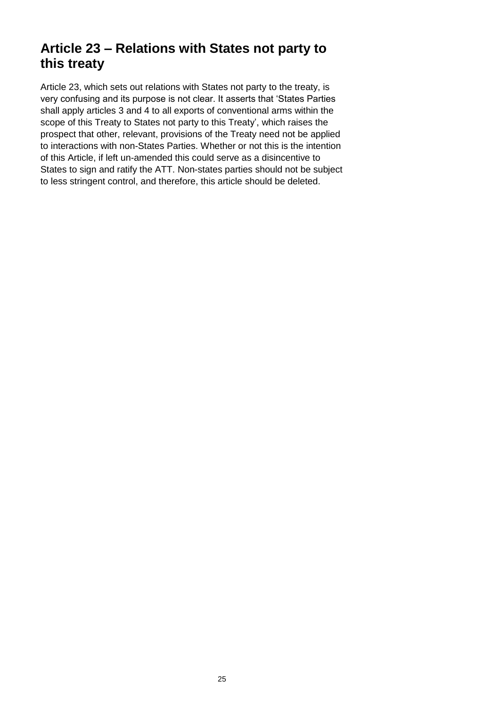### **Article 23 – Relations with States not party to this treaty**

Article 23, which sets out relations with States not party to the treaty, is very confusing and its purpose is not clear. It asserts that 'States Parties' shall apply articles 3 and 4 to all exports of conventional arms within the scope of this Treaty to States not party to this Treaty', which raises the prospect that other, relevant, provisions of the Treaty need not be applied to interactions with non-States Parties. Whether or not this is the intention of this Article, if left un-amended this could serve as a disincentive to States to sign and ratify the ATT. Non-states parties should not be subject to less stringent control, and therefore, this article should be deleted.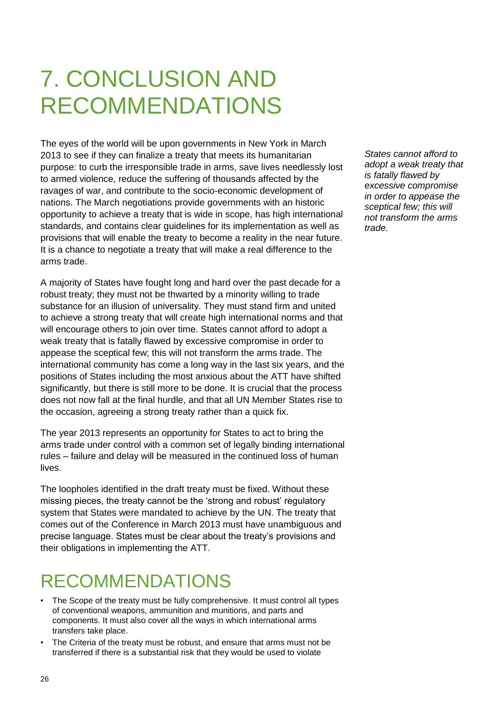# 7. CONCLUSION AND RECOMMENDATIONS

The eyes of the world will be upon governments in New York in March 2013 to see if they can finalize a treaty that meets its humanitarian purpose: to curb the irresponsible trade in arms, save lives needlessly lost to armed violence, reduce the suffering of thousands affected by the ravages of war, and contribute to the socio-economic development of nations. The March negotiations provide governments with an historic opportunity to achieve a treaty that is wide in scope, has high international standards, and contains clear guidelines for its implementation as well as provisions that will enable the treaty to become a reality in the near future. It is a chance to negotiate a treaty that will make a real difference to the arms trade.

A majority of States have fought long and hard over the past decade for a robust treaty; they must not be thwarted by a minority willing to trade substance for an illusion of universality. They must stand firm and united to achieve a strong treaty that will create high international norms and that will encourage others to join over time. States cannot afford to adopt a weak treaty that is fatally flawed by excessive compromise in order to appease the sceptical few; this will not transform the arms trade. The international community has come a long way in the last six years, and the positions of States including the most anxious about the ATT have shifted significantly, but there is still more to be done. It is crucial that the process does not now fall at the final hurdle, and that all UN Member States rise to the occasion, agreeing a strong treaty rather than a quick fix.

The year 2013 represents an opportunity for States to act to bring the arms trade under control with a common set of legally binding international rules – failure and delay will be measured in the continued loss of human lives.

The loopholes identified in the draft treaty must be fixed. Without these missing pieces, the treaty cannot be the 'strong and robust' regulatory system that States were mandated to achieve by the UN. The treaty that comes out of the Conference in March 2013 must have unambiguous and precise language. States must be clear about the treaty's provisions and their obligations in implementing the ATT.

### RECOMMENDATIONS

- The Scope of the treaty must be fully comprehensive. It must control all types of conventional weapons, ammunition and munitions, and parts and components. It must also cover all the ways in which international arms transfers take place.
- The Criteria of the treaty must be robust, and ensure that arms must not be transferred if there is a substantial risk that they would be used to violate

*States cannot afford to adopt a weak treaty that is fatally flawed by excessive compromise in order to appease the sceptical few; this will not transform the arms trade.*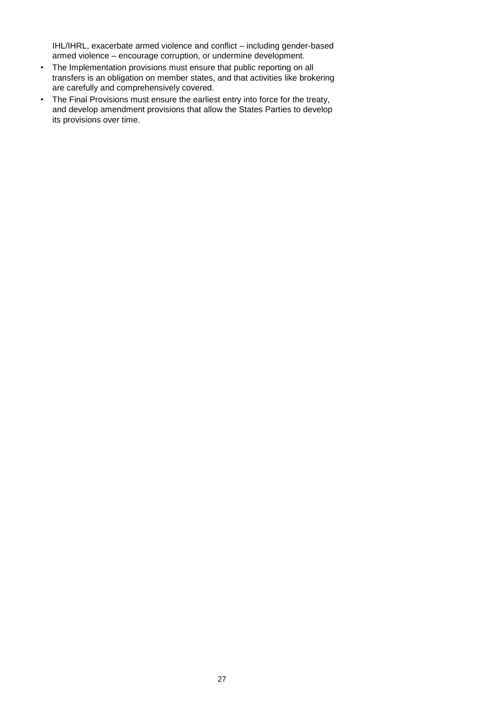IHL/IHRL, exacerbate armed violence and conflict – including gender-based armed violence – encourage corruption, or undermine development.

- The Implementation provisions must ensure that public reporting on all transfers is an obligation on member states, and that activities like brokering are carefully and comprehensively covered.
- The Final Provisions must ensure the earliest entry into force for the treaty, and develop amendment provisions that allow the States Parties to develop its provisions over time.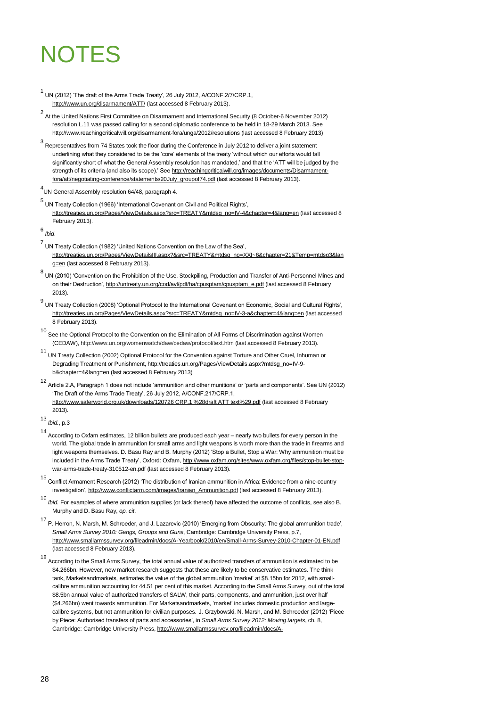# NOTES

 $^1$  UN (2012) 'The draft of the Arms Trade Treaty', 26 July 2012, A/CONF.2/7/CRP.1, <http://www.un.org/disarmament/ATT/> (last accessed 8 February 2013).

2 At the United Nations First Committee on Disarmament and International Security (8 October-6 November 2012) resolution L.11 was passed calling for a second diplomatic conference to be held in 18-29 March 2013. See <http://www.reachingcriticalwill.org/disarmament-fora/unga/2012/resolutions> (last accessed 8 February 2013)

3 Representatives from 74 States took the floor during the Conference in July 2012 to deliver a joint statement underlining what they considered to be the ‗core' elements of the treaty ‗without which our efforts would fall significantly short of what the General Assembly resolution has mandated,' and that the 'ATT will be judged by the strength of its criteria (and also its scope).' Se[e http://reachingcriticalwill.org/images/documents/Disarmament](http://reachingcriticalwill.org/images/documents/Disarmament-fora/att/negotiating-conference/statements/20July_groupof74.pdf)[fora/att/negotiating-conference/statements/20July\\_groupof74.pdf](http://reachingcriticalwill.org/images/documents/Disarmament-fora/att/negotiating-conference/statements/20July_groupof74.pdf) (last accessed 8 February 2013).

4 UN General Assembly resolution 64/48, paragraph 4.

5<br>UN Treaty Collection (1966) 'International Covenant on Civil and Political Rights', [http://treaties.un.org/Pages/ViewDetails.aspx?src=TREATY&mtdsg\\_no=IV-4&chapter=4&lang=en](http://treaties.un.org/Pages/ViewDetails.aspx?src=TREATY&mtdsg_no=IV-4&chapter=4&lang=en) (last accessed 8 February 2013).

6 *Ibid*.

7<br>UN Treaty Collection (1982) 'United Nations Convention on the Law of the Sea', [http://treaties.un.org/Pages/ViewDetailsIII.aspx?&src=TREATY&mtdsg\\_no=XXI~6&chapter=21&Temp=mtdsg3&lan](http://treaties.un.org/Pages/ViewDetailsIII.aspx?&src=TREATY&mtdsg_no=XXI~6&chapter=21&Temp=mtdsg3&lang=en) [g=en](http://treaties.un.org/Pages/ViewDetailsIII.aspx?&src=TREATY&mtdsg_no=XXI~6&chapter=21&Temp=mtdsg3&lang=en) (last accessed 8 February 2013).

<sup>8</sup> UN (2010) 'Convention on the Prohibition of the Use, Stockpiling, Production and Transfer of Anti-Personnel Mines and on their Destruction'[, http://untreaty.un.org/cod/avl/pdf/ha/cpusptam/cpusptam\\_e.pdf](http://untreaty.un.org/cod/avl/pdf/ha/cpusptam/cpusptam_e.pdf) (last accessed 8 February 2013).

<sup>9</sup> UN Treaty Collection (2008) 'Optional Protocol to the International Covenant on Economic, Social and Cultural Rights', [http://treaties.un.org/Pages/ViewDetails.aspx?src=TREATY&mtdsg\\_no=IV-3-a&chapter=4&lang=en](http://treaties.un.org/Pages/ViewDetails.aspx?src=TREATY&mtdsg_no=IV-3-a&chapter=4&lang=en) (last accessed 8 February 2013).

<sup>10</sup> See the Optional Protocol to the Convention on the Elimination of All Forms of Discrimination against Women (CEDAW), http://www.un.org/womenwatch/daw/cedaw/protocol/text.htm (last accessed 8 February 2013).

<sup>11</sup> UN Treaty Collection (2002) Optional Protocol for the Convention against Torture and Other Cruel, Inhuman or Degrading Treatment or Punishment, http://treaties.un.org/Pages/ViewDetails.aspx?mtdsg\_no=IV-9 b&chapter=4&lang=en (last accessed 8 February 2013)

12<br>Article 2.A, Paragraph 1 does not include 'ammunition and other munitions' or 'parts and components'. See UN (2012) ‗The Draft of the Arms Trade Treaty', 26 July 2012, A/CONF.217/CRP.1, [http://www.saferworld.org.uk/downloads/120726 CRP.1 %28draft ATT text%29.pdf](http://www.saferworld.org.uk/downloads/120726%20CRP.1%20%28draft%20ATT%20text%29.pdf) (last accessed 8 February 2013).

13 *Ibid.*, p.3

<sup>14</sup> According to Oxfam estimates, 12 billion bullets are produced each year – nearly two bullets for every person in the world. The global trade in ammunition for small arms and light weapons is worth more than the trade in firearms and light weapons themselves. D. Basu Ray and B. Murphy (2012) ‗Stop a Bullet, Stop a War: Why ammunition must be included in the Arms Trade Treaty', Oxford: Oxfam[, http://www.oxfam.org/sites/www.oxfam.org/files/stop-bullet-stop](http://www.oxfam.org/sites/www.oxfam.org/files/stop-bullet-stop-war-arms-trade-treaty-310512-en.pdf)[war-arms-trade-treaty-310512-en.pdf](http://www.oxfam.org/sites/www.oxfam.org/files/stop-bullet-stop-war-arms-trade-treaty-310512-en.pdf) (last accessed 8 February 2013).

15 Conflict Armament Research (2012) 'The distribution of Iranian ammunition in Africa: Evidence from a nine-country investigation'[, http://www.conflictarm.com/images/Iranian\\_Ammunition.pdf](http://www.conflictarm.com/images/Iranian_Ammunition.pdf) (last accessed 8 February 2013).

16 *Ibid.* For examples of where ammunition supplies (or lack thereof) have affected the outcome of conflicts, see also B. Murphy and D. Basu Ray, *op. cit*.

<sup>17</sup> P. Herron, N. Marsh, M. Schroeder, and J. Lazarevic (2010) 'Emerging from Obscurity: The global ammunition trade', *Small Arms Survey 2010: Gangs, Groups and Guns*, Cambridge: Cambridge University Press, p.7, <http://www.smallarmssurvey.org/fileadmin/docs/A-Yearbook/2010/en/Small-Arms-Survey-2010-Chapter-01-EN.pdf> (last accessed 8 February 2013).

<sup>18</sup> According to the Small Arms Survey, the total annual value of authorized transfers of ammunition is estimated to be \$4.266bn. However, new market research suggests that these are likely to be conservative estimates. The think tank, Marketsandmarkets, estimates the value of the global ammunition 'market' at \$8.15bn for 2012, with smallcalibre ammunition accounting for 44.51 per cent of this market. According to the Small Arms Survey, out of the total \$8.5bn annual value of authorized transfers of SALW, their parts, components, and ammunition, just over half (\$4.266bn) went towards ammunition. For Marketsandmarkets, ‗market' includes domestic production and largecalibre systems, but not ammunition for civilian purposes. J. Grzybowski, N. Marsh, and M. Schroeder (2012) 'Piece by Piece: Authorised transfers of parts and accessories', in *Small Arms Survey 2012: Moving targets*, ch. 8, Cambridge: Cambridge University Press[, http://www.smallarmssurvey.org/fileadmin/docs/A-](http://www.smallarmssurvey.org/fileadmin/docs/A-Yearbook/2012/eng/Small-Arms-Survey-2012-Chapter-08-EN.pdf)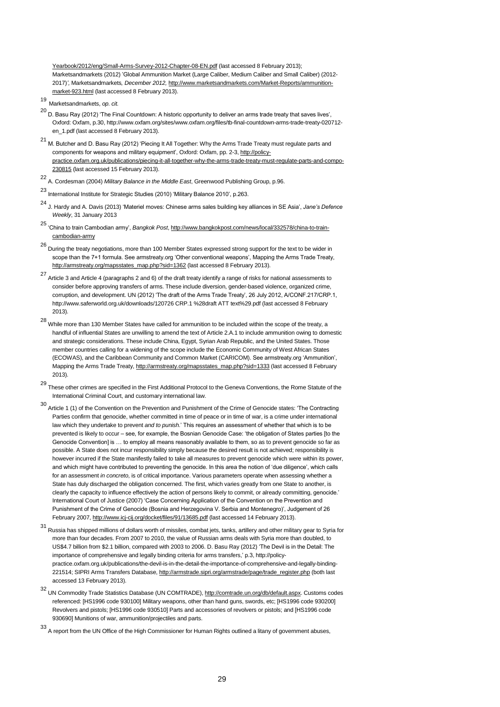Yearbook/2012/eng/Small-Arms-Survey-2012-Chapter-08-EN.pdf (last accessed 8 February 2013); Marketsandmarkets (2012) 'Global Ammunition Market (Large Caliber, Medium Caliber and Small Caliber) (2012- 2017)*',* Marketsandmarkets*, December 2012,* [http://www.marketsandmarkets.com/Market-Reports/ammunition](http://www.marketsandmarkets.com/Market-Reports/ammunition-market-923.html)[market-923.html](http://www.marketsandmarkets.com/Market-Reports/ammunition-market-923.html) (last accessed 8 February 2013).

- 19 Marketsandmarkets, *op. cit.*
- $^{20}$  D. Basu Rav (2012) 'The Final Countdown: A historic opportunity to deliver an arms trade treaty that saves lives', Oxford: Oxfam, p.30, http://www.oxfam.org/sites/www.oxfam.org/files/tb-final-countdown-arms-trade-treaty-020712 en\_1.pdf (last accessed 8 February 2013).
- $21$  M. Butcher and D. Basu Ray (2012) 'Piecing It All Together: Why the Arms Trade Treaty must regulate parts and components for weapons and military equipment', Oxford: Oxfam, pp. 2-3[, http://policy](http://policy-practice.oxfam.org.uk/publications/piecing-it-all-together-why-the-arms-trade-treaty-must-regulate-parts-and-compo-230815)[practice.oxfam.org.uk/publications/piecing-it-all-together-why-the-arms-trade-treaty-must-regulate-parts-and-compo-](http://policy-practice.oxfam.org.uk/publications/piecing-it-all-together-why-the-arms-trade-treaty-must-regulate-parts-and-compo-230815)[230815](http://policy-practice.oxfam.org.uk/publications/piecing-it-all-together-why-the-arms-trade-treaty-must-regulate-parts-and-compo-230815) (last accessed 15 February 2013).

<sup>22</sup> A. Cordesman (2004) *Military Balance in the Middle East*, Greenwood Publishing Group, p.96.

23 International Institute for Strategic Studies (2010) 'Military Balance 2010', p.263.

- 24 J. Hardy and A. Davis (2013) ‗Materiel moves: Chinese arms sales building key alliances in SE Asia', *Jane's Defence Weekly*, 31 January 2013
- <sup>25</sup> ‗China to train Cambodian army', *Bangkok Post*[, http://www.bangkokpost.com/news/local/332578/china-to-train](http://www.bangkokpost.com/news/local/332578/china-to-train-cambodian-army)[cambodian-army](http://www.bangkokpost.com/news/local/332578/china-to-train-cambodian-army)
- <sup>26</sup> During the treaty negotiations, more than 100 Member States expressed strong support for the text to be wider in scope than the 7+1 formula. See armstreaty.org 'Other conventional weapons', Mapping the Arms Trade Treaty, [http://armstreaty.org/mapsstates\\_map.php?sid=1362](http://armstreaty.org/mapsstates_map.php?sid=1362) (last accessed 8 February 2013).
- <sup>27</sup> Article 3 and Article 4 (paragraphs 2 and 6) of the draft treaty identify a range of risks for national assessments to consider before approving transfers of arms. These include diversion, gender-based violence, organized crime, corruption, and development. UN (2012) 'The draft of the Arms Trade Treaty', 26 July 2012, A/CONF.217/CRP.1, [http://www.saferworld.org.uk/downloads/120726 CRP.1 %28draft ATT text%29.pdf](http://www.saferworld.org.uk/downloads/120726%20CRP.1%20%28draft%20ATT%20text%29.pdf) (last accessed 8 February 2013).
- $^{28}$  While more than 130 Member States have called for ammunition to be included within the scope of the treaty, a handful of influential States are unwilling to amend the text of Article 2.A.1 to include ammunition owing to domestic and strategic considerations. These include China, Egypt, Syrian Arab Republic, and the United States. Those member countries calling for a widening of the scope include the Economic Community of West African States (ECOWAS), and the Caribbean Community and Common Market (CARICOM). See armstreaty.org ‗Ammunition', Mapping the Arms Trade Treaty[, http://armstreaty.org/mapsstates\\_map.php?sid=1333](http://armstreaty.org/mapsstates_map.php?sid=1333) (last accessed 8 February 2013).
- <sup>29</sup> These other crimes are specified in the First Additional Protocol to the Geneva Conventions, the Rome Statute of the International Criminal Court, and customary international law.
- <sup>30</sup> Article 1 (1) of the Convention on the Prevention and Punishment of the Crime of Genocide states: ‗The Contracting Parties confirm that genocide, whether committed in time of peace or in time of war, is a crime under international law which they undertake to prevent *and to punish.*' This requires an assessment of whether that which is to be prevented is likely to occur – see, for example, the Bosnian Genocide Case: 'the obligation of States parties [to the Genocide Convention] is … to employ all means reasonably available to them, so as to prevent genocide so far as possible. A State does not incur responsibility simply because the desired result is not achieved; responsibility is however incurred if the State manifestly failed to take all measures to prevent genocide which were within its power, and which might have contributed to preventing the genocide. In this area the notion of 'due diligence', which calls for an assessment *in concreto*, is of critical importance. Various parameters operate when assessing whether a State has duly discharged the obligation concerned. The first, which varies greatly from one State to another, is clearly the capacity to influence effectively the action of persons likely to commit, or already committing, genocide.' International Court of Justice (2007) 'Case Concerning Application of the Convention on the Prevention and Punishment of the Crime of Genocide (Bosnia and Herzegovina V. Serbia and Montenegro)', Judgement of 26 February 2007[, http://www.icj-cij.org/docket/files/91/13685.pdf](http://www.icj-cij.org/docket/files/91/13685.pdf) (last accessed 14 February 2013).
- <sup>31</sup> Russia has shipped millions of dollars worth of missiles, combat jets, tanks, artillery and other military gear to Syria for more than four decades. From 2007 to 2010, the value of Russian arms deals with Syria more than doubled, to US\$4.7 billion from \$2.1 billion, compared with 2003 to 2006. D. Basu Ray (2012) ‗The Devil is in the Detail: The importance of comprehensive and legally binding criteria for arms transfers,' p.3, http://policypractice.oxfam.org.uk/publications/the-devil-is-in-the-detail-the-importance-of-comprehensive-and-legally-binding-221514; SIPRI Arms Transfers Database[, http://armstrade.sipri.org/armstrade/page/trade\\_register.php](http://armstrade.sipri.org/armstrade/page/trade_register.php) (both last accessed 13 February 2013).
- 32<br>UN Commodity Trade Statistics Database (UN COMTRADE), <u>http://comtrade.un.org/db/default.aspx</u>. Customs codes referenced: [HS1996 code 930100] Military weapons, other than hand guns, swords, etc; [HS1996 code 930200] Revolvers and pistols; [HS1996 code 930510] Parts and accessories of revolvers or pistols; and [HS1996 code 930690] Munitions of war, ammunition/projectiles and parts.

<sup>33</sup> A report from the UN Office of the High Commissioner for Human Rights outlined a litany of government abuses,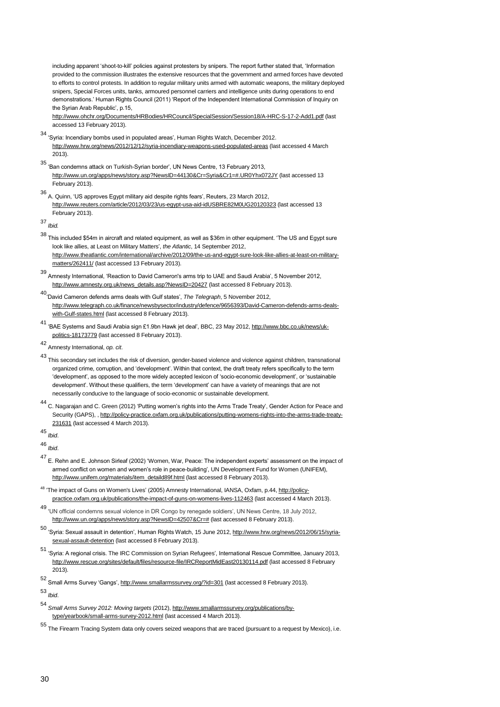including apparent 'shoot-to-kill' policies against protesters by snipers. The report further stated that, 'Information provided to the commission illustrates the extensive resources that the government and armed forces have devoted to efforts to control protests. In addition to regular military units armed with automatic weapons, the military deployed snipers, Special Forces units, tanks, armoured personnel carriers and intelligence units during operations to end demonstrations.' Human Rights Council (2011) 'Report of the Independent International Commission of Inquiry on the Syrian Arab Republic', p.15,

<http://www.ohchr.org/Documents/HRBodies/HRCouncil/SpecialSession/Session18/A-HRC-S-17-2-Add1.pdf> (last accessed 13 February 2013).

- <sup>34</sup> ‗Syria: Incendiary bombs used in populated areas', Human Rights Watch, December 2012. <http://www.hrw.org/news/2012/12/12/syria-incendiary-weapons-used-populated-areas> (last accessed 4 March 2013).
- <sup>35</sup> ‗Ban condemns attack on Turkish-Syrian border', UN News Centre, 13 February 2013, <http://www.un.org/apps/news/story.asp?NewsID=44130&Cr=Syria&Cr1=#.UR0Yhx072JY> (last accessed 13 February 2013).
- <sup>36</sup> A. Quinn, ‗US approves Egypt military aid despite rights fears', Reuters, 23 March 2012, <http://www.reuters.com/article/2012/03/23/us-egypt-usa-aid-idUSBRE82M0UG20120323> (last accessed 13 February 2013).

37 *Ibid.*

- $38$  This included \$54m in aircraft and related equipment, as well as \$36m in other equipment. 'The US and Egypt sure look like allies, at Least on Military Matters', *the Atlantic*, 14 September 2012, [http://www.theatlantic.com/international/archive/2012/09/the-us-and-egypt-sure-look-like-allies-at-least-on-military](http://www.theatlantic.com/international/archive/2012/09/the-us-and-egypt-sure-look-like-allies-at-least-on-military-matters/262411/)[matters/262411/](http://www.theatlantic.com/international/archive/2012/09/the-us-and-egypt-sure-look-like-allies-at-least-on-military-matters/262411/) (last accessed 13 February 2013).
- <sup>39</sup> Amnesty International, ‗Reaction to David Cameron's arms trip to UAE and Saudi Arabia', 5 November 2012, [http://www.amnesty.org.uk/news\\_details.asp?NewsID=20427](http://www.amnesty.org.uk/news_details.asp?NewsID=20427) (last accessed 8 February 2013).
- <sup>40</sup>‗David Cameron defends arms deals with Gulf states', *The Telegraph*, 5 November 2012, [http://www.telegraph.co.uk/finance/newsbysector/industry/defence/9656393/David-Cameron-defends-arms-deals](http://www.telegraph.co.uk/finance/newsbysector/industry/defence/9656393/David-Cameron-defends-arms-deals-with-Gulf-states.html)[with-Gulf-states.html](http://www.telegraph.co.uk/finance/newsbysector/industry/defence/9656393/David-Cameron-defends-arms-deals-with-Gulf-states.html) (last accessed 8 February 2013).
- 41 BAE Systems and Saudi Arabia sign £1.9bn Hawk jet deal', BBC, 23 May 2012[, http://www.bbc.co.uk/news/uk](http://www.bbc.co.uk/news/uk-politics-18173779)[politics-18173779](http://www.bbc.co.uk/news/uk-politics-18173779) (last accessed 8 February 2013).
- 42 Amnesty International, *op. cit*.
- <sup>43</sup> This secondary set includes the risk of diversion, gender-based violence and violence against children, transnational organized crime, corruption, and ‗development'. Within that context, the draft treaty refers specifically to the term ‗development', as opposed to the more widely accepted lexicon of ‗socio-economic development', or ‗sustainable development'. Without these qualifiers, the term 'development' can have a variety of meanings that are not necessarily conducive to the language of socio-economic or sustainable development.
- <sup>44</sup> C. Nagarajan and C. Green (2012) ‗Putting women's rights into the Arms Trade Treaty', Gender Action for Peace and Security (GAPS), [, http://policy-practice.oxfam.org.uk/publications/putting-womens-rights-into-the-arms-trade-treaty-](http://policy-practice.oxfam.org.uk/publications/putting-womens-rights-into-the-arms-trade-treaty-231631)[231631](http://policy-practice.oxfam.org.uk/publications/putting-womens-rights-into-the-arms-trade-treaty-231631) (last accessed 4 March 2013).

45 *Ibid*.

46 *Ibid*.

- <sup>47</sup> E. Rehn and E. Johnson Sirleaf (2002) ‗Women, War, Peace: The independent experts' assessment on the impact of armed conflict on women and women's role in peace-building', UN Development Fund for Women (UNIFEM), [http://www.unifem.org/materials/item\\_detaild89f.html](http://www.unifem.org/materials/item_detaild89f.html) (last accessed 8 February 2013).
- <sup>48</sup> 'The impact of Guns on Women's Lives' (2005) Amnesty International, IANSA, Oxfam, p.44[, http://policy](http://policy-practice.oxfam.org.uk/publications/the-impact-of-guns-on-womens-lives-112463)[practice.oxfam.org.uk/publications/the-impact-of-guns-on-womens-lives-112463](http://policy-practice.oxfam.org.uk/publications/the-impact-of-guns-on-womens-lives-112463) (last accessed 4 March 2013).
- <sup>49</sup> ‗UN official condemns sexual violence in DR Congo by renegade soldiers', UN News Centre, 18 July 2012, [http://www.un.org/apps/news/story.asp?NewsID=42507&Cr=#](http://www.un.org/apps/news/story.asp?NewsID=42507&Cr=) (last accessed 8 February 2013).
- <sup>50</sup> ‗Syria: Sexual assault in detention', Human Rights Watch, 15 June 2012[, http://www.hrw.org/news/2012/06/15/syria](http://www.hrw.org/news/2012/06/15/syria-sexual-assault-detention)[sexual-assault-detention](http://www.hrw.org/news/2012/06/15/syria-sexual-assault-detention) (last accessed 8 February 2013).
- <sup>51</sup> ‗Syria: A regional crisis. The IRC Commission on Syrian Refugees', International Rescue Committee, January 2013, <http://www.rescue.org/sites/default/files/resource-file/IRCReportMidEast20130114.pdf> (last accessed 8 February 2013).
- 52 Small Arms Survey 'Gangs'[, http://www.smallarmssurvey.org/?id=301](http://www.smallarmssurvey.org/?id=301) (last accessed 8 February 2013).

53 *Ibid*.

Small Arms Survey 2012: Moving targets (2012), [http://www.smallarmssurvey.org/publications/by](http://www.smallarmssurvey.org/publications/by-type/yearbook/small-arms-survey-2012.html)[type/yearbook/small-arms-survey-2012.html](http://www.smallarmssurvey.org/publications/by-type/yearbook/small-arms-survey-2012.html) (last accessed 4 March 2013).

<sup>55</sup> The Firearm Tracing System data only covers seized weapons that are traced (pursuant to a request by Mexico), i.e.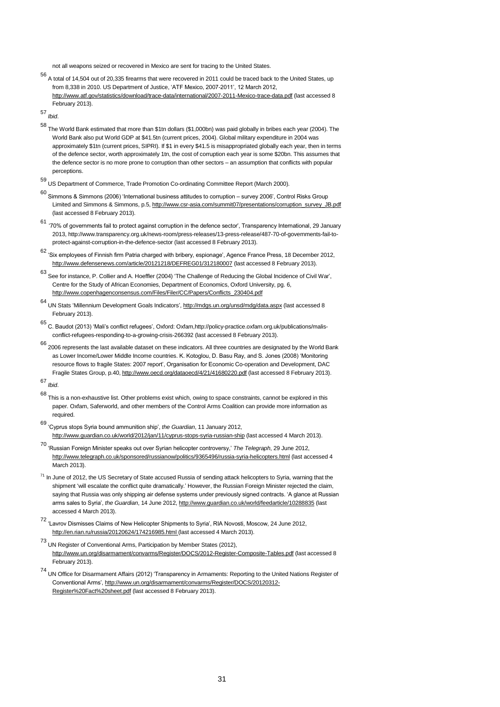not all weapons seized or recovered in Mexico are sent for tracing to the United States.

<sup>56</sup> A total of 14,504 out of 20,335 firearms that were recovered in 2011 could be traced back to the United States, up from 8,338 in 2010. US Department of Justice, ‗ATF Mexico, 2007-2011', 12 March 2012, <http://www.atf.gov/statistics/download/trace-data/international/2007-2011-Mexico-trace-data.pdf> (last accessed 8 February 2013).

57 *Ibid*.

- <sup>58</sup> The World Bank estimated that more than \$1tn dollars (\$1,000bn) was paid globally in bribes each year (2004). The World Bank also put World GDP at \$41.5tn (current prices, 2004). Global military expenditure in 2004 was approximately \$1tn (current prices, SIPRI). If \$1 in every \$41.5 is misappropriated globally each year, then in terms of the defence sector, worth approximately 1tn, the cost of corruption each year is some \$20bn. This assumes that the defence sector is no more prone to corruption than other sectors – an assumption that conflicts with popular perceptions.
- <sup>59</sup> US Department of Commerce, Trade Promotion Co-ordinating Committee Report (March 2000).
- <sup>60</sup> Simmons & Simmons (2006) ‗International business attitudes to corruption survey 2006', Control Risks Group Limited and Simmons & Simmons, p.5[, http://www.csr-asia.com/summit07/presentations/corruption\\_survey\\_JB.pdf](http://www.csr-asia.com/summit07/presentations/corruption_survey_JB.pdf) (last accessed 8 February 2013).
- <sup>61</sup> ‗70% of governments fail to protect against corruption in the defence sector', Transparency International, 29 January 2013[, http://www.transparency.org.uk/news-room/press-releases/13-press-release/487-70-of-governments-fail-to](http://www.transparency.org.uk/news-room/press-releases/13-press-release/487-70-of-governments-fail-to-protect-against-corruption-in-the-defence-sector)[protect-against-corruption-in-the-defence-sector](http://www.transparency.org.uk/news-room/press-releases/13-press-release/487-70-of-governments-fail-to-protect-against-corruption-in-the-defence-sector) (last accessed 8 February 2013).
- <sup>62</sup> ‗Six employees of Finnish firm Patria charged with bribery, espionage', Agence France Press, 18 December 2012, <http://www.defensenews.com/article/20121218/DEFREG01/312180007> (last accessed 8 February 2013).
- <sup>63</sup> See for instance, P. Collier and A. Hoeffler (2004) ‗The Challenge of Reducing the Global Incidence of Civil War', Centre for the Study of African Economies, Department of Economics, Oxford University, pg. 6, [http://www.copenhagenconsensus.com/Files/Filer/CC/Papers/Conflicts\\_230404.pdf](http://www.copenhagenconsensus.com/Files/Filer/CC/Papers/Conflicts_230404.pdf)
- $64$  UN Stats 'Millennium Development Goals Indicators',  $http://mdgs.un.org/unsd/mdg/data.aspx$  (last accessed 8</u> February 2013).
- <sup>65</sup> C. Baudot (2013) ‗Mali's conflict refugees', Oxford: Oxfam,http://policy-practice.oxfam.org.uk/publications/malisconflict-refugees-responding-to-a-growing-crisis-266392 (last accessed 8 February 2013).
- 66 2006 represents the last available dataset on these indicators. All three countries are designated by the World Bank as Lower Income/Lower Middle Income countries. K. Kotoglou, D. Basu Ray, and S. Jones (2008) 'Monitoring resource flows to fragile States: 2007 report', Organisation for Economic Co-operation and Development, DAC Fragile States Group, p.40[, http://www.oecd.org/dataoecd/4/21/41680220.pdf](http://www.oecd.org/dataoecd/4/21/41680220.pdf) (last accessed 8 February 2013).

- 68 This is a non-exhaustive list. Other problems exist which, owing to space constraints, cannot be explored in this paper. Oxfam, Saferworld, and other members of the Control Arms Coalition can provide more information as required.
- <sup>69</sup> ‗Cyprus stops Syria bound ammunition ship', *the Guardian*, 11 January 2012, http://www.quardian.co.uk/world/2012/jan/11/cyprus-stops-syria-russian-ship (last accessed 4 March 2013).
- <sup>70</sup> ‗Russian Foreign Minister speaks out over Syrian helicopter controversy,' *The Telegraph*, 29 June 2012, <http://www.telegraph.co.uk/sponsored/russianow/politics/9365496/russia-syria-helicopters.html> (last accessed 4 March 2013).
- <sup>71</sup> In June of 2012, the US Secretary of State accused Russia of sending attack helicopters to Syria, warning that the shipment 'will escalate the conflict quite dramatically.' However, the Russian Foreign Minister rejected the claim, saying that Russia was only shipping air defense systems under previously signed contracts. 'A glance at Russian arms sales to Syria', *the Guardian*, 14 June 2012, <http://www.guardian.co.uk/world/feedarticle/10288835> (last accessed 4 March 2013).
- <sup>72</sup> ‗Lavrov Dismisses Claims of New Helicopter Shipments to Syria', RIA Novosti, Moscow, 24 June 2012, <http://en.rian.ru/russia/20120624/174216985.html> (last accessed 4 March 2013).
- 73 UN Register of Conventional Arms, Participation by Member States (2012), <http://www.un.org/disarmament/convarms/Register/DOCS/2012-Register-Composite-Tables.pdf> (last accessed 8 February 2013).
- 74 UN Office for Disarmament Affairs (2012) ‗Transparency in Armaments: Reporting to the United Nations Register of Conventional Arms'[, http://www.un.org/disarmament/convarms/Register/DOCS/20120312-](http://www.un.org/disarmament/convarms/Register/DOCS/20120312-Register%20Fact%20sheet.pdf) [Register%20Fact%20sheet.pdf](http://www.un.org/disarmament/convarms/Register/DOCS/20120312-Register%20Fact%20sheet.pdf) (last accessed 8 February 2013).

<sup>67</sup> *Ibid*.